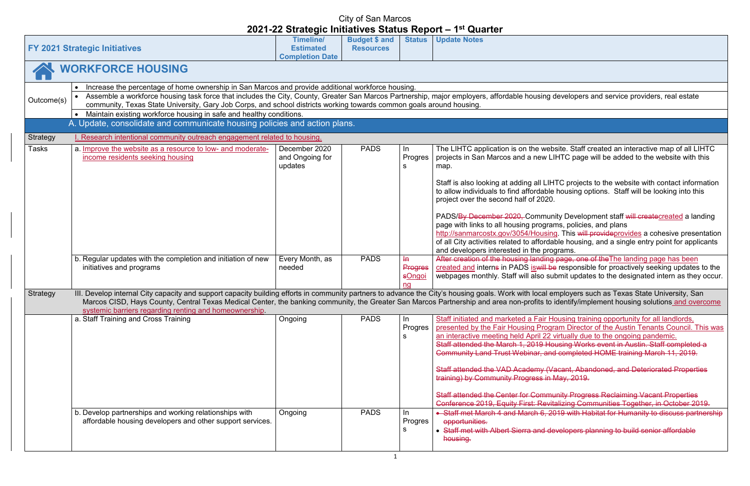developers and service providers, real estate

bsite. Staff created an interactive map of all LIHTC IHTC page will be added to the website with this

HTC projects to the website with contact information e housing options. Staff will be looking into this

nity Development staff <del>will create</del>created a landing ims, policies, and plans

ng. This will provideprovides a cohesive presentation able housing, and a single entry point for applicants agrams.

a page, one of the The landing page has been  $\overline{P}$  responsible for proactively seeking updates to the ubmit updates to the designated intern as they occur.

employers such as Texas State University, Sand employers to advance to and identify/implement housing solutions and overcome

Housing training opportunity for all landlords, pram Director of the Austin Tenants Council. This was virtually due to the ongoing pandemic. <u>ousing Works event in Austin. Staff completed a</u> d completed HOME training March 11, 2019.

**Jacant, Abandoned, and Deteriorated Properties** May, 2019.

**unity Progress Reclaiming Vacant Properties** italizing Communities Together, in October 2019. • Staff met March 4 and March 6, 2019 with Habitat for Humanity to discuss partnership

evelopers planning to build senior affordable

|                 | <b>FY 2021 Strategic Initiatives</b>                                                                                                                                                                                                                                                                                                                                                                                                                            | <b>Timeline/</b><br><b>Estimated</b><br><b>Completion Date</b> | <b>Budget \$ and</b><br><b>Resources</b> | <b>Status</b>                                    | <b>Update Notes</b>                                                                                                                                                                                                                                                                                                                                                                |
|-----------------|-----------------------------------------------------------------------------------------------------------------------------------------------------------------------------------------------------------------------------------------------------------------------------------------------------------------------------------------------------------------------------------------------------------------------------------------------------------------|----------------------------------------------------------------|------------------------------------------|--------------------------------------------------|------------------------------------------------------------------------------------------------------------------------------------------------------------------------------------------------------------------------------------------------------------------------------------------------------------------------------------------------------------------------------------|
|                 | <b>WORKFORCE HOUSING</b>                                                                                                                                                                                                                                                                                                                                                                                                                                        |                                                                |                                          |                                                  |                                                                                                                                                                                                                                                                                                                                                                                    |
| Outcome(s)      | Increase the percentage of home ownership in San Marcos and provide additional workforce housing.<br>$\bullet$<br>Assemble a workforce housing task force that includes the City, County, Greater San Marcos Partnership, major employers, affordable housing or<br>community, Texas State University, Gary Job Corps, and school districts working towards common goals around housing.<br>Maintain existing workforce housing in safe and healthy conditions. |                                                                |                                          |                                                  |                                                                                                                                                                                                                                                                                                                                                                                    |
|                 | A. Update, consolidate and communicate housing policies and action plans.                                                                                                                                                                                                                                                                                                                                                                                       |                                                                |                                          |                                                  |                                                                                                                                                                                                                                                                                                                                                                                    |
| <b>Strategy</b> | I. Research intentional community outreach engagement related to housing.                                                                                                                                                                                                                                                                                                                                                                                       |                                                                |                                          |                                                  |                                                                                                                                                                                                                                                                                                                                                                                    |
| <b>Tasks</b>    | a. Improve the website as a resource to low- and moderate-<br>income residents seeking housing                                                                                                                                                                                                                                                                                                                                                                  | December 2020<br>and Ongoing for<br>updates                    | <b>PADS</b>                              | In<br>Progres<br>s                               | The LIHTC application is on the web<br>projects in San Marcos and a new LI<br>map.<br>Staff is also looking at adding all LIH<br>to allow individuals to find affordable<br>project over the second half of 2020.<br>PADS/By December 2020, Commun<br>page with links to all housing prograr                                                                                       |
|                 | b. Regular updates with the completion and initiation of new<br>initiatives and programs                                                                                                                                                                                                                                                                                                                                                                        | Every Month, as<br>needed                                      | <b>PADS</b>                              | $H\rightarrow$<br><b>Progres</b><br>sOngoi<br>na | http://sanmarcostx.gov/3054/Housing<br>of all City activities related to affordal<br>and developers interested in the prog<br>After creation of the housing landing<br>created and interns in PADS is will be<br>webpages monthly. Staff will also sul                                                                                                                             |
| Strategy        | III. Develop internal City capacity and support capacity building efforts in community partners to advance the City's housing goals. Work with local ei<br>Marcos CISD, Hays County, Central Texas Medical Center, the banking community, the Greater San Marcos Partnership and area non-profits to i<br>systemic barriers regarding renting and homeownership.                                                                                                |                                                                |                                          |                                                  |                                                                                                                                                                                                                                                                                                                                                                                    |
|                 | a. Staff Training and Cross Training                                                                                                                                                                                                                                                                                                                                                                                                                            | Ongoing                                                        | <b>PADS</b>                              | In.<br>Progres<br>s                              | Staff initiated and marketed a Fair He<br>presented by the Fair Housing Progr<br>an interactive meeting held April 22 v<br>Staff attended the March 1, 2019 Ho<br><b>Community Land Trust Webinar, and</b><br>Staff attended the VAD Academy (Va<br>training) by Community Progress in I<br><b>Staff attended the Center for Communder</b><br>Conference 2019, Equity First: Revit |
|                 | b. Develop partnerships and working relationships with<br>affordable housing developers and other support services.                                                                                                                                                                                                                                                                                                                                             | Ongoing                                                        | <b>PADS</b>                              | In<br>Progres<br>s                               | • Staff met March 4 and March 6, 20<br>opportunities.<br>• Staff met with Albert Sierra and de<br>housing.                                                                                                                                                                                                                                                                         |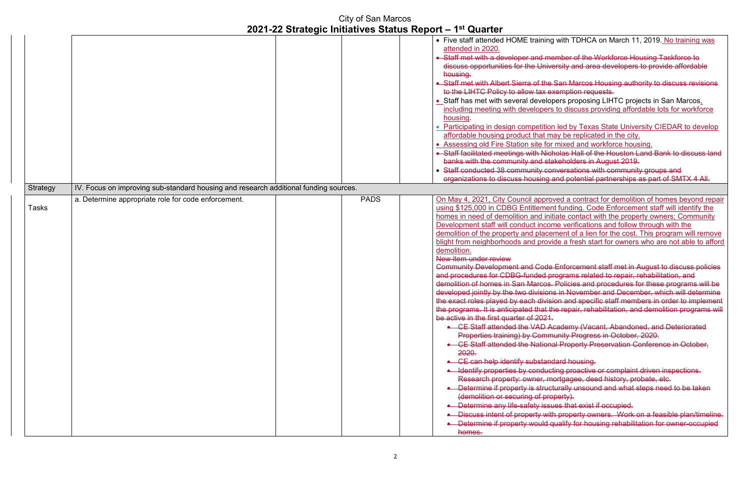#### g with TDHCA on March 11, 2019. No training was

ember of the Workforce Housing Taskforce to  $\epsilon$ ersity and area developers to provide affordable

 $\overline{\text{e}}$  San Marcos Housing authority to discuss revisions i exemption requests.

 $\epsilon$  opers proposing LIHTC projects in San Marcos, rs to discuss providing affordable lots for workforce

In led by Texas State University CIEDAR to develop may be replicated in the city.

If mixed and workforce housing.

 $\epsilon$  sholas Hall of the Houston Land Bank to discuss land takeholders in August 2019.

enversations with community groups and

and potential partnerships as part of SMTX 4 All.

a. Determine appropriate appropriate appropriate approved a contract for demolition of homes beyond repair ent funding. Code Enforcement staff will identify the itiate contact with the property owners; Community ome verifications and follow through with the ement of a lien for the cost. This program will remove vide a fresh start for owners who are not able to afford

e Enforcement staff met in August to discuss policies arograms related to repair, rehabilitation, and  $s$ . Policies and procedures for these programs will be ns in November and December, which will determine sion and specific staff members in order to implement the repair, rehabilitation, and demolition programs will

**Academy (Vacant, Abandoned, and Deteriorated** nunity Progress in October, 2020.

al Property Preservation Conference in October,

edard housing.

eting proactive or complaint driven inspections.

nortgagee, deed history, probate, etc.

eturally unsound and what steps need to be taken operty).

 $\frac{1}{2}$  ues that exist if occupied.

ith property owners. Work on a feasible plan/timeline. qualify for housing rehabilitation for owner-occupied

|                 |                                                                                      | <b>City of San Marcos</b> | 2021-22 Strategic Initiatives Status Report - 1 <sup>st</sup> Quarter                                                                                                                                                                                                                                                                                                                                                                                                                                                                                                                                                                                                                                                                                                                                                                                                                                                                                                                              |
|-----------------|--------------------------------------------------------------------------------------|---------------------------|----------------------------------------------------------------------------------------------------------------------------------------------------------------------------------------------------------------------------------------------------------------------------------------------------------------------------------------------------------------------------------------------------------------------------------------------------------------------------------------------------------------------------------------------------------------------------------------------------------------------------------------------------------------------------------------------------------------------------------------------------------------------------------------------------------------------------------------------------------------------------------------------------------------------------------------------------------------------------------------------------|
|                 |                                                                                      |                           | • Five staff attended HOME training<br>attended in 2020.<br>• Staff met with a developer and me<br>discuss opportunities for the Unive<br>housing.<br>• Staff met with Albert Sierra of the<br>to the LIHTC Policy to allow tax ex<br>• Staff has met with several develop<br>including meeting with developers<br>housing.<br>• Participating in design competition<br>affordable housing product that m<br>• Assessing old Fire Station site for<br>• Staff facilitated meetings with Nich<br>banks with the community and sta<br>• Staff conducted 38 community cor<br>organizations to discuss housing                                                                                                                                                                                                                                                                                                                                                                                         |
| <b>Strategy</b> | IV. Focus on improving sub-standard housing and research additional funding sources. |                           |                                                                                                                                                                                                                                                                                                                                                                                                                                                                                                                                                                                                                                                                                                                                                                                                                                                                                                                                                                                                    |
| <b>Tasks</b>    | a. Determine appropriate role for code enforcement.                                  | <b>PADS</b>               | On May 4, 2021, City Council appro<br>using \$125,000 in CDBG Entitlemen<br>homes in need of demolition and init<br>Development staff will conduct incor<br>demolition of the property and place<br>blight from neighborhoods and provi<br>demolition.<br>New item under review<br><b>Community Development and Code</b><br>and procedures for CDBG-funded pr<br>demolition of homes in San Marcos.<br>developed jointly by the two division<br>the exact roles played by each divisi<br>the programs. It is anticipated that th<br>be active in the first quarter of 2021.<br>• CE Staff attended the VAD A<br><b>Properties training) by Comm</b><br>• CE Staff attended the Nationa<br>2020.<br>• CE can help identify substand<br>· Identify properties by conduct<br>Research property: owner, m<br>• Determine if property is struct<br>(demolition or securing of pro<br>• Determine any life-safety issu<br>• Discuss intent of property with<br>• Determine if property would a<br>homes. |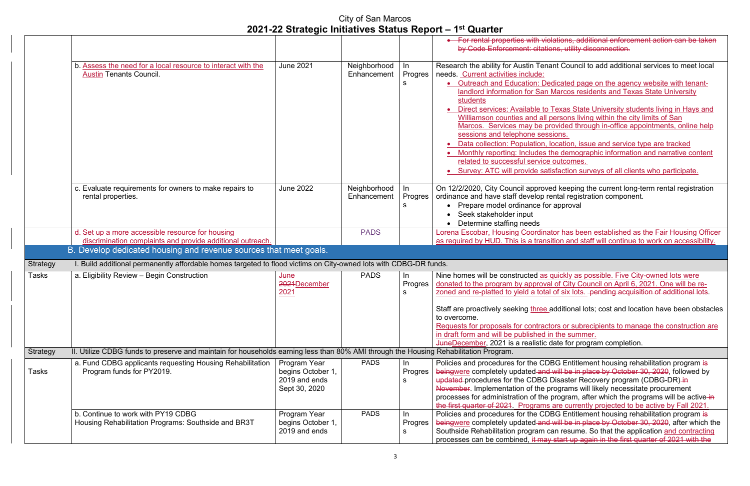lations, additional enforcement action can be taken bus, utility disconnection.

ant Council to add additional services to meet local

dicated page on the agency website with tenant-**Marcos residents and Texas State University** 

Texas State University students living in Hays and bersons living within the city limits of San rovided through in-office appointments, online help sions.

location, issue and service type are tracked the demographic information and narrative content outcomes.

isfaction surveys of all clients who participate.

ed keeping the current long-term rental registration ental registration component. approval

Itor has been established as the Fair Housing Officer ition and staff will continue to work on accessibility.

quickly as possible. Five City-owned lots were of City Council on April 6, 2021. One will be reof six lots. -pending acquisition of additional lots.

additional lots; cost and location have been obstacles

tors or subrecipients to manage the construction are in the summer. date for program completion.

BG Entitlement housing rehabilitation program is will be in place by October 30, 2020, followed by Disaster Recovery program (CDBG-DR) in rograms will likely necessitate procurement program, after which the programs will be active in are currently projected to be active by Fall 2021. **BG Entitlement housing rehabilitation program is** will be in place by October 30, 2020, after which the an resume. So that the application <u>and contracting</u> start up again in the first quarter of 2021 with the

|                 |                                                                                                                                      |                                |                             |                    | • For rental properties with vio<br>by Code Enforcement: citatic                                                                     |
|-----------------|--------------------------------------------------------------------------------------------------------------------------------------|--------------------------------|-----------------------------|--------------------|--------------------------------------------------------------------------------------------------------------------------------------|
|                 |                                                                                                                                      |                                |                             |                    |                                                                                                                                      |
|                 | b. Assess the need for a local resource to interact with the<br><b>Austin Tenants Council.</b>                                       | <b>June 2021</b>               | Neighborhood<br>Enhancement | In<br>Progres<br>s | Research the ability for Austin Tena<br>needs. Current activities include:<br>• Outreach and Education: De                           |
|                 |                                                                                                                                      |                                |                             |                    | landlord information for San<br>students                                                                                             |
|                 |                                                                                                                                      |                                |                             |                    | Direct services: Available to<br>Williamson counties and all p                                                                       |
|                 |                                                                                                                                      |                                |                             |                    | Marcos. Services may be pr                                                                                                           |
|                 |                                                                                                                                      |                                |                             |                    | sessions and telephone sess<br>Data collection: Population, I                                                                        |
|                 |                                                                                                                                      |                                |                             |                    | Monthly reporting: Includes t<br>related to successful service                                                                       |
|                 |                                                                                                                                      |                                |                             |                    | <b>Survey: ATC will provide sati</b>                                                                                                 |
|                 | c. Evaluate requirements for owners to make repairs to<br>rental properties.                                                         | <b>June 2022</b>               | Neighborhood<br>Enhancement | In<br>Progres<br>s | On 12/2/2020, City Council approve<br>ordinance and have staff develop re<br>• Prepare model ordinance for<br>Seek stakeholder input |
|                 | d. Set up a more accessible resource for housing                                                                                     |                                | <b>PADS</b>                 |                    | Determine staffing needs<br>Lorena Escobar, Housing Coordina                                                                         |
|                 | discrimination complaints and provide additional outreach.                                                                           |                                |                             |                    | as required by HUD. This is a trans                                                                                                  |
|                 | B. Develop dedicated housing and revenue sources that meet goals.                                                                    |                                |                             |                    |                                                                                                                                      |
| <b>Strategy</b> | I. Build additional permanently affordable homes targeted to flood victims on City-owned lots with CDBG-DR funds.                    |                                |                             |                    |                                                                                                                                      |
| <b>Tasks</b>    | a. Eligibility Review - Begin Construction                                                                                           | <b>June</b>                    | <b>PADS</b>                 | In                 | Nine homes will be constructed as                                                                                                    |
|                 |                                                                                                                                      | 2021December<br>2021           |                             | Progres            | donated to the program by approva<br>zoned and re-platted to yield a total                                                           |
|                 |                                                                                                                                      |                                |                             | s                  |                                                                                                                                      |
|                 |                                                                                                                                      |                                |                             |                    | Staff are proactively seeking three a<br>to overcome.                                                                                |
|                 |                                                                                                                                      |                                |                             |                    | Requests for proposals for contract                                                                                                  |
|                 |                                                                                                                                      |                                |                             |                    | in draft form and will be published in<br>JuneDecember, 2021 is a realistic of                                                       |
| Strategy        | II. Utilize CDBG funds to preserve and maintain for households earning less than 80% AMI through the Housing Rehabilitation Program. |                                |                             |                    |                                                                                                                                      |
|                 | a. Fund CDBG applicants requesting Housing Rehabilitation                                                                            | Program Year                   | <b>PADS</b>                 | In                 | Policies and procedures for the CDI                                                                                                  |
| <b>Tasks</b>    | Program funds for PY2019.                                                                                                            | begins October 1,              |                             | Progres            | beingwere completely updated and                                                                                                     |
|                 |                                                                                                                                      | 2019 and ends<br>Sept 30, 2020 |                             | s                  | updated procedures for the CDBG I<br>November. Implementation of the p                                                               |
|                 |                                                                                                                                      |                                |                             |                    | processes for administration of the                                                                                                  |
|                 |                                                                                                                                      |                                |                             |                    | the first quarter of 2021 Programs                                                                                                   |
|                 | b. Continue to work with PY19 CDBG                                                                                                   | Program Year                   | <b>PADS</b>                 | In.                | Policies and procedures for the CDI                                                                                                  |
|                 | Housing Rehabilitation Programs: Southside and BR3T                                                                                  | begins October 1,              |                             | Progres            | beingwere completely updated and                                                                                                     |
|                 |                                                                                                                                      | 2019 and ends                  |                             |                    | Southside Rehabilitation program c<br>processes can be combined, it may                                                              |
|                 |                                                                                                                                      |                                |                             |                    |                                                                                                                                      |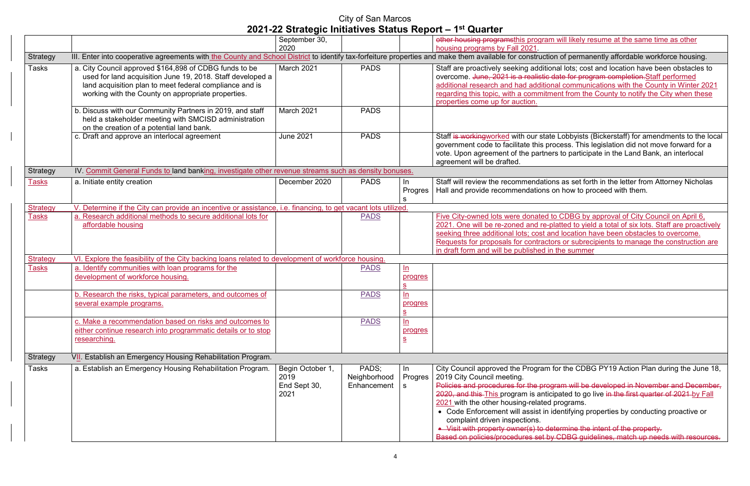n will likely resume at the same time as other

on of permanently affordable workforce housing.

mal lots; cost and location have been obstacles to date for program completion.Staff performed nal communications with the County in Winter 2021 rent from the County to notify the City when these

e Lobbyists (Bickerstaff) for amendments to the local ocess. This legislation did not move forward for a rs to participate in the Land Bank, an interlocal

ns as set forth in the letter from Attorney Nicholas on how to proceed with them.

to CDBG by approval of City Council on April 6, blatted to yield a total of six lots. Staff are proactively nd location have been obstacles to overcome. ors or subrecipients to manage the construction are ithe summer

for the CDBG PY19 Action Plan during the June 18,

Pram will be developed in November and December, ipated to go live in the first quarter of 2021 by Fall programs.

identifying properties by conducting proactive or

etermine the intent of the property. y CDBG guidelines, match up needs with resources.

|                 |                                                                                                                                                                                                                                       | September 30,                                    |                                      |                                                       | other housing programsthis program                                                                                                                                                                                                                                                                                                            |
|-----------------|---------------------------------------------------------------------------------------------------------------------------------------------------------------------------------------------------------------------------------------|--------------------------------------------------|--------------------------------------|-------------------------------------------------------|-----------------------------------------------------------------------------------------------------------------------------------------------------------------------------------------------------------------------------------------------------------------------------------------------------------------------------------------------|
|                 |                                                                                                                                                                                                                                       | 2020                                             |                                      |                                                       | housing programs by Fall 2021.                                                                                                                                                                                                                                                                                                                |
| Strategy        | III. Enter into cooperative agreements with the County and School District to identify tax-forfeiture properties and make them available for constructic                                                                              |                                                  |                                      |                                                       |                                                                                                                                                                                                                                                                                                                                               |
| <b>Tasks</b>    | a. City Council approved \$164,898 of CDBG funds to be<br>used for land acquisition June 19, 2018. Staff developed a<br>land acquisition plan to meet federal compliance and is<br>working with the County on appropriate properties. | March 2021                                       | <b>PADS</b>                          |                                                       | Staff are proactively seeking additio<br>overcome. June, 2021 is a realistic<br>additional research and had additior<br>regarding this topic, with a commitm<br>properties come up for auction.                                                                                                                                               |
|                 | b. Discuss with our Community Partners in 2019, and staff<br>held a stakeholder meeting with SMCISD administration<br>on the creation of a potential land bank.                                                                       | March 2021                                       | <b>PADS</b>                          |                                                       |                                                                                                                                                                                                                                                                                                                                               |
|                 | c. Draft and approve an interlocal agreement                                                                                                                                                                                          | <b>June 2021</b>                                 | <b>PADS</b>                          |                                                       | Staff is workingworked with our state<br>government code to facilitate this pre<br>vote. Upon agreement of the partne<br>agreement will be drafted.                                                                                                                                                                                           |
| Strategy        | IV. Commit General Funds to land banking, investigate other revenue streams such as density bonuses.                                                                                                                                  |                                                  |                                      |                                                       |                                                                                                                                                                                                                                                                                                                                               |
| <b>Tasks</b>    | a. Initiate entity creation                                                                                                                                                                                                           | December 2020                                    | <b>PADS</b>                          | In.<br>Progres                                        | Staff will review the recommendation<br>Hall and provide recommendations                                                                                                                                                                                                                                                                      |
| <b>Strategy</b> | V. Determine if the City can provide an incentive or assistance, i.e. financing, to get vacant lots utilized.                                                                                                                         |                                                  |                                      |                                                       |                                                                                                                                                                                                                                                                                                                                               |
| Tasks           | a. Research additional methods to secure additional lots for<br>affordable housing                                                                                                                                                    |                                                  | <b>PADS</b>                          |                                                       | Five City-owned lots were donated t<br>2021. One will be re-zoned and re-p<br>seeking three additional lots; cost are<br>Requests for proposals for contracto<br>in draft form and will be published in                                                                                                                                       |
| <b>Strategy</b> | VI. Explore the feasibility of the City backing loans related to development of workforce housing.                                                                                                                                    |                                                  |                                      |                                                       |                                                                                                                                                                                                                                                                                                                                               |
| <b>Tasks</b>    | a. Identify communities with loan programs for the<br>development of workforce housing.                                                                                                                                               |                                                  | <b>PADS</b>                          | ln<br>progres<br>$\underline{\underline{\mathsf{S}}}$ |                                                                                                                                                                                                                                                                                                                                               |
|                 | b. Research the risks, typical parameters, and outcomes of<br>several example programs.                                                                                                                                               |                                                  | <b>PADS</b>                          | In<br>progres<br>$S_{\parallel}$                      |                                                                                                                                                                                                                                                                                                                                               |
|                 | c. Make a recommendation based on risks and outcomes to<br>either continue research into programmatic details or to stop<br>researching.                                                                                              |                                                  | <b>PADS</b>                          | ln<br>progres<br>$\overline{\mathbf{S}}$              |                                                                                                                                                                                                                                                                                                                                               |
| <b>Strategy</b> | VII. Establish an Emergency Housing Rehabilitation Program.                                                                                                                                                                           |                                                  |                                      |                                                       |                                                                                                                                                                                                                                                                                                                                               |
| Tasks           | a. Establish an Emergency Housing Rehabilitation Program.                                                                                                                                                                             | Begin October 1,<br>2019<br>End Sept 30,<br>2021 | PADS;<br>Neighborhood<br>Enhancement | In<br>Progres<br>S.                                   | City Council approved the Program<br>2019 City Council meeting.<br>Policies and procedures for the prog<br>2020, and this This program is antic<br>2021 with the other housing-related<br>• Code Enforcement will assist in i<br>complaint driven inspections.<br>• Visit with property owner(s) to de<br>Based on policies/procedures set by |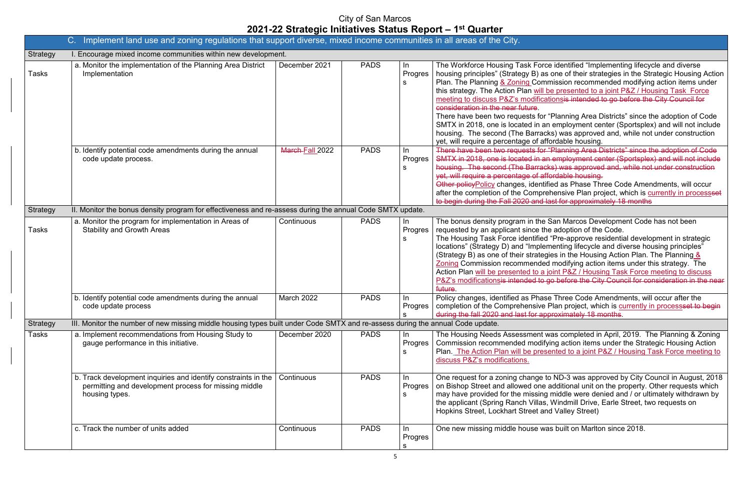e identified "Implementing lifecycle and diverse one of their strategies in the Strategic Housing Action nission recommended modifying action items under the presented to a joint P&Z / Housing Task Force meeting to discuss the City Council for

Planning Area Districts" since the adoption of Code  $\alpha$  employment center (Sportsplex) and will not include  $\epsilon$ s) was approved and, while not under construction ordable housing.

'Planning Area Districts" since the adoption of Code  $\overline{\mathsf{R}}$  employment center (Sportsplex) and will not include  $\epsilon$ s) was approved and, while not under construction erdable housing.

ed as Phase Three Code Amendments, will occur hensive Plan project, which is currently in processset ast for approximately 18 months

San Marcos Development Code has not been e adoption of the Code.

"Pre-approve residential development in strategic nenting lifecycle and diverse housing principles" ies in the Housing Action Plan. The Planning  $\frac{8}{5}$ I modifying action items under this strategy. The oint P&Z / Housing Task Force meeting to discuss  $\overline{p}$  before the City Council for consideration in the near

e Three Code Amendments, will occur after the Plan project, which is currently in processset to begin exame for the formulation of the formulation and large for a  $\epsilon$ 

as completed in April, 2019. The Planning & Zoning ing action items under the Strategic Housing Action ented to a joint P&Z / Housing Task Force meeting to

o ND-3 was approved by City Council in August, 2018 additional unit on the property. Other requests which middle were denied and / or ultimately withdrawn by Windmill Drive, Earle Street, two requests on d Valley Street)

Is built on Marlton since 2018.

|                 | Implement land use and zoning regulations that support diverse, mixed income communities in all areas of the City.<br>$C_{\cdot}$         |                 |             |                     |                                                                                                                                                                                                                                                                                                                                                                                          |
|-----------------|-------------------------------------------------------------------------------------------------------------------------------------------|-----------------|-------------|---------------------|------------------------------------------------------------------------------------------------------------------------------------------------------------------------------------------------------------------------------------------------------------------------------------------------------------------------------------------------------------------------------------------|
| <b>Strategy</b> | I. Encourage mixed income communities within new development.                                                                             |                 |             |                     |                                                                                                                                                                                                                                                                                                                                                                                          |
| <b>Tasks</b>    | a. Monitor the implementation of the Planning Area District<br>Implementation                                                             | December 2021   | <b>PADS</b> | In<br>Progres<br>s  | The Workforce Housing Task Force<br>housing principles" (Strategy B) as<br>Plan. The Planning & Zoning Comr<br>this strategy. The Action Plan will b<br>meeting to discuss P&Z's modificat<br>consideration in the near future.<br>There have been two requests for '<br>SMTX in 2018, one is located in an<br>housing. The second (The Barrack<br>yet, will require a percentage of aff |
|                 | b. Identify potential code amendments during the annual<br>code update process.                                                           | March-Fall 2022 | <b>PADS</b> | In<br>Progres<br>s  | There have been two requests for '<br>SMTX in 2018, one is located in an<br>housing. The second (The Barrack<br>yet, will require a percentage of affe<br>Other policy Policy changes, identifi<br>after the completion of the Compre<br>to begin during the Fall 2020 and la                                                                                                            |
| <b>Strategy</b> | II. Monitor the bonus density program for effectiveness and re-assess during the annual Code SMTX update.                                 |                 |             |                     |                                                                                                                                                                                                                                                                                                                                                                                          |
| <b>Tasks</b>    | a. Monitor the program for implementation in Areas of<br><b>Stability and Growth Areas</b>                                                | Continuous      | <b>PADS</b> | In<br>Progres<br>S  | The bonus density program in the \$<br>requested by an applicant since the<br>The Housing Task Force identified<br>locations" (Strategy D) and "Implen<br>(Strategy B) as one of their strategi<br>Zoning Commission recommended<br>Action Plan will be presented to a jo<br>P&Z's modificationsis intended to g<br>future.                                                              |
|                 | b. Identify potential code amendments during the annual<br>code update process                                                            | March 2022      | <b>PADS</b> | In<br>Progres<br>S  | Policy changes, identified as Phase<br>completion of the Comprehensive P<br>during the fall 2020 and last for app                                                                                                                                                                                                                                                                        |
| <b>Strategy</b> | III. Monitor the number of new missing middle housing types built under Code SMTX and re-assess during the annual Code update.            |                 |             |                     |                                                                                                                                                                                                                                                                                                                                                                                          |
| <b>Tasks</b>    | a. Implement recommendations from Housing Study to<br>gauge performance in this initiative.                                               | December 2020   | <b>PADS</b> | In<br>Progres<br>s  | The Housing Needs Assessment w<br>Commission recommended modify<br>Plan. The Action Plan will be prese<br>discuss P&Z's modifications.                                                                                                                                                                                                                                                   |
|                 | b. Track development inquiries and identify constraints in the<br>permitting and development process for missing middle<br>housing types. | Continuous      | <b>PADS</b> | In.<br>Progres<br>s | One request for a zoning change to<br>on Bishop Street and allowed one a<br>may have provided for the missing<br>the applicant (Spring Ranch Villas,<br>Hopkins Street, Lockhart Street and                                                                                                                                                                                              |
|                 | c. Track the number of units added                                                                                                        | Continuous      | <b>PADS</b> | In<br>Progres<br>S. | One new missing middle house wa                                                                                                                                                                                                                                                                                                                                                          |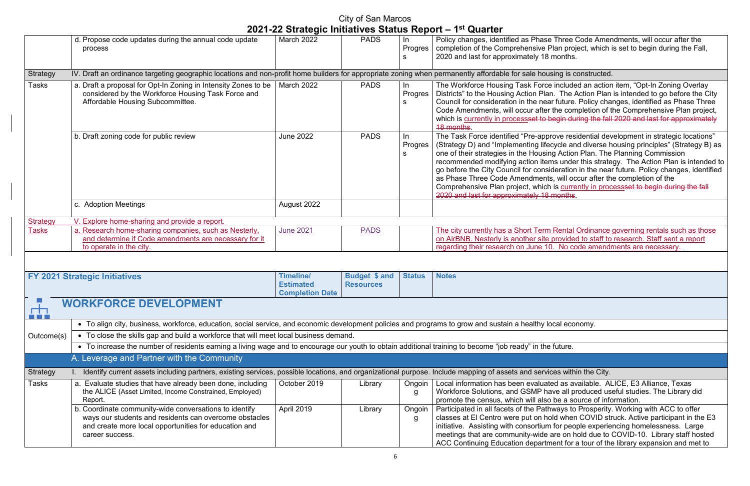Three Code Amendments, will occur after the Plan project, which is set to begin during the Fall, months.

e included an action item, "Opt-In Zoning Overlay n. The Action Plan is intended to go before the City ar future. Policy changes, identified as Phase Three the completion of the Comprehensive Plan project,  $\epsilon$  begin during the fall 2020 and last for approximately

Trove residential development in strategic locations"  $\epsilon$ cycle and diverse housing principles" (Strategy B) as ng Action Plan. The Planning Commission  $\overline{\mathsf{m}}$ s under this strategy. The Action Plan is intended to ideration in the near future. Policy changes, identified is, will occur after the completion of the is currently in processset to begin during the fall months.

Rental Ordinance governing rentals such as those provided to staff to research. Staff sent a report regarding the code amendments are necessary.

ted as available. ALICE, E3 Alliance, Texas ave all produced useful studies. The Library did be a source of information.

Participated in all facets of the Pathways to Prosperity. Working with ACC to offer classes at El Centro were put on hold when COVID struck. Active participant in the E3 for people experiencing homelessness. Large are on hold due to COVID-10. Library staff hosted nent for a tour of the library expansion and met to

|                 | d. Propose code updates during the annual code update<br>process                                                                                                                             | March 2022                                                     | <b>PADS</b>                              | In<br>Progres<br>S   | Policy changes, identified as Phase Three Code Amer<br>completion of the Comprehensive Plan project, which i<br>2020 and last for approximately 18 months.                                                                                                                                                                                                                                                                                                     |
|-----------------|----------------------------------------------------------------------------------------------------------------------------------------------------------------------------------------------|----------------------------------------------------------------|------------------------------------------|----------------------|----------------------------------------------------------------------------------------------------------------------------------------------------------------------------------------------------------------------------------------------------------------------------------------------------------------------------------------------------------------------------------------------------------------------------------------------------------------|
| Strategy        | IV. Draft an ordinance targeting geographic locations and non-profit home builders for appropriate zoning when permanently affordable for sale housing is constructed.                       |                                                                |                                          |                      |                                                                                                                                                                                                                                                                                                                                                                                                                                                                |
| Tasks           | a. Draft a proposal for Opt-In Zoning in Intensity Zones to be  <br>considered by the Workforce Housing Task Force and<br>Affordable Housing Subcommittee.                                   | <b>March 2022</b>                                              | <b>PADS</b>                              | In<br>Progres I<br>S | The Workforce Housing Task Force included an action<br>Districts" to the Housing Action Plan. The Action Plan<br>Council for consideration in the near future. Policy cha<br>Code Amendments, will occur after the completion of t<br>which is currently in processed to begin during the fall<br><b>18 months</b>                                                                                                                                             |
|                 | b. Draft zoning code for public review                                                                                                                                                       | <b>June 2022</b>                                               | <b>PADS</b>                              | In.<br>Progres<br>S  | The Task Force identified "Pre-approve residential dev<br>(Strategy D) and "Implementing lifecycle and diverse h<br>one of their strategies in the Housing Action Plan. The<br>recommended modifying action items under this strate<br>go before the City Council for consideration in the near<br>as Phase Three Code Amendments, will occur after th<br>Comprehensive Plan project, which is currently in proc<br>2020 and last for approximately 18 months. |
|                 | c. Adoption Meetings                                                                                                                                                                         | August 2022                                                    |                                          |                      |                                                                                                                                                                                                                                                                                                                                                                                                                                                                |
| <b>Strategy</b> | V. Explore home-sharing and provide a report.                                                                                                                                                |                                                                |                                          |                      |                                                                                                                                                                                                                                                                                                                                                                                                                                                                |
| <b>Tasks</b>    | a. Research home-sharing companies, such as Nesterly,<br>and determine if Code amendments are necessary for it<br>to operate in the city.                                                    | <b>June 2021</b>                                               | <b>PADS</b>                              |                      | The city currently has a Short Term Rental Ordinance<br>on AirBNB. Nesterly is another site provided to staff to<br>regarding their research on June 10. No code amendr                                                                                                                                                                                                                                                                                        |
|                 |                                                                                                                                                                                              |                                                                |                                          |                      |                                                                                                                                                                                                                                                                                                                                                                                                                                                                |
|                 | <b>FY 2021 Strategic Initiatives</b>                                                                                                                                                         | <b>Timeline/</b><br><b>Estimated</b><br><b>Completion Date</b> | <b>Budget \$ and</b><br><b>Resources</b> | <b>Status</b>        | <b>Notes</b>                                                                                                                                                                                                                                                                                                                                                                                                                                                   |
| m<br>. .        | <b>WORKFORCE DEVELOPMENT</b>                                                                                                                                                                 |                                                                |                                          |                      |                                                                                                                                                                                                                                                                                                                                                                                                                                                                |
|                 | • To align city, business, workforce, education, social service, and economic development policies and programs to grow and sustain a healthy local economy.                                 |                                                                |                                          |                      |                                                                                                                                                                                                                                                                                                                                                                                                                                                                |
| Outcome(s)      | • To close the skills gap and build a workforce that will meet local business demand.                                                                                                        |                                                                |                                          |                      |                                                                                                                                                                                                                                                                                                                                                                                                                                                                |
|                 | • To increase the number of residents earning a living wage and to encourage our youth to obtain additional training to become "job ready" in the future.                                    |                                                                |                                          |                      |                                                                                                                                                                                                                                                                                                                                                                                                                                                                |
|                 | A. Leverage and Partner with the Community                                                                                                                                                   |                                                                |                                          |                      |                                                                                                                                                                                                                                                                                                                                                                                                                                                                |
| <b>Strategy</b> | Identify current assets including partners, existing services, possible locations, and organizational purpose. Include mapping of assets and services within the City.                       |                                                                |                                          |                      |                                                                                                                                                                                                                                                                                                                                                                                                                                                                |
| Tasks           | a. Evaluate studies that have already been done, including<br>the ALICE (Asset Limited, Income Constrained, Employed)<br>Report.                                                             | October 2019                                                   | Library                                  | Ongoin<br>g          | Local information has been evaluated as available. Al<br>Workforce Solutions, and GSMP have all produced us<br>promote the census, which will also be a source of info                                                                                                                                                                                                                                                                                         |
|                 | b. Coordinate community-wide conversations to identify<br>ways our students and residents can overcome obstacles<br>and create more local opportunities for education and<br>career success. | April 2019                                                     | Library                                  | Ongoin<br>g          | Participated in all facets of the Pathways to Prosperity.<br>classes at El Centro were put on hold when COVID str<br>initiative. Assisting with consortium for people experie<br>meetings that are community-wide are on hold due to<br>ACC Continuing Education department for a tour of the                                                                                                                                                                  |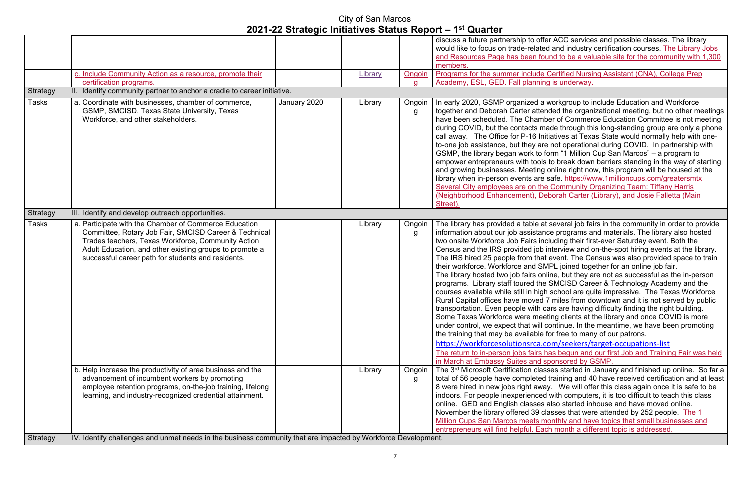r ACC services and possible classes. The library and industry certification courses. The Library Jobs nd to be a valuable site for the community with 1,300

**Programs Formal Sertified Nursing Assistant (CNA), College Prep** is underway.

vorkgroup to include Education and Workforce ded the organizational meeting, but no other meetings er of Commerce Education Committee is not meeting de through this long-standing group are only a phone iatives at Texas State would normally help with onenot operational during COVID. In partnership with orm "1 Million Cup San Marcos" – a program to to break down barriers standing in the way of starting online right now, this program will be housed at the afe.<https://www.1millioncups.com/greatersmtx> Community Organizing Team: Tiffany Harris (Neighborah Carter (Library), and Josie Falletta (Main

several job fairs in the community in order to provide e programs and materials. The library also hosted luding their first-ever Saturday event. Both the nterview and on-the-spot hiring events at the library. event. The Census was also provided space to train PL joined together for an online job fair.

ne, but they are not as successful as the in-person SMCISD Career & Technology Academy and the school are quite impressive. The Texas Workforce miles from downtown and it is not served by public ars are having difficulty finding the right building. ing clients at the library and once COVID is more ontinue. In the meantime, we have been promoting or free to many of our patrons.

om/seekers/target-occupations-list as begun and our first Job and Training Fair was held onsored by GSMP.

ses started in January and finished up online. So far a training and 40 have received certification and at least  $\alpha$ . We will offer this class again once it is safe to be with computers, it is too difficult to teach this class also started inhouse and have moved online.  $s$  asses that were attended by 252 people. The 1 onthly and have topics that small businesses and h month a different topic is addressed.

|                                                                                                                                                                                                                                                                                       |                                                                                     |                                                                         |             | discuss a future partnership to offer                                                                                                                                                                                                                                                                                                                                                                                                                                                                                                                                                                                                                                        |
|---------------------------------------------------------------------------------------------------------------------------------------------------------------------------------------------------------------------------------------------------------------------------------------|-------------------------------------------------------------------------------------|-------------------------------------------------------------------------|-------------|------------------------------------------------------------------------------------------------------------------------------------------------------------------------------------------------------------------------------------------------------------------------------------------------------------------------------------------------------------------------------------------------------------------------------------------------------------------------------------------------------------------------------------------------------------------------------------------------------------------------------------------------------------------------------|
|                                                                                                                                                                                                                                                                                       |                                                                                     |                                                                         |             | would like to focus on trade-related                                                                                                                                                                                                                                                                                                                                                                                                                                                                                                                                                                                                                                         |
|                                                                                                                                                                                                                                                                                       |                                                                                     |                                                                         |             | and Resources Page has been fou                                                                                                                                                                                                                                                                                                                                                                                                                                                                                                                                                                                                                                              |
|                                                                                                                                                                                                                                                                                       |                                                                                     |                                                                         |             | members.                                                                                                                                                                                                                                                                                                                                                                                                                                                                                                                                                                                                                                                                     |
|                                                                                                                                                                                                                                                                                       |                                                                                     |                                                                         |             | Programs for the summer include O                                                                                                                                                                                                                                                                                                                                                                                                                                                                                                                                                                                                                                            |
|                                                                                                                                                                                                                                                                                       |                                                                                     |                                                                         | a           | Academy, ESL, GED. Fall planning                                                                                                                                                                                                                                                                                                                                                                                                                                                                                                                                                                                                                                             |
|                                                                                                                                                                                                                                                                                       |                                                                                     |                                                                         |             |                                                                                                                                                                                                                                                                                                                                                                                                                                                                                                                                                                                                                                                                              |
| a. Coordinate with businesses, chamber of commerce,<br>GSMP, SMCISD, Texas State University, Texas<br>Workforce, and other stakeholders.                                                                                                                                              | January 2020                                                                        | Library                                                                 | Ongoin<br>g | In early 2020, GSMP organized a v<br>together and Deborah Carter atten<br>have been scheduled. The Chambe<br>during COVID, but the contacts ma<br>call away. The Office for P-16 Initi<br>to-one job assistance, but they are<br>GSMP, the library began work to fo<br>empower entrepreneurs with tools t<br>and growing businesses. Meeting o<br>library when in-person events are s<br>Several City employees are on the<br>(Neighborhood Enhancement), Del<br>Street).                                                                                                                                                                                                    |
| III. Identify and develop outreach opportunities.                                                                                                                                                                                                                                     |                                                                                     |                                                                         |             |                                                                                                                                                                                                                                                                                                                                                                                                                                                                                                                                                                                                                                                                              |
| a. Participate with the Chamber of Commerce Education<br>Committee, Rotary Job Fair, SMCISD Career & Technical<br>Trades teachers, Texas Workforce, Community Action<br>Adult Education, and other existing groups to promote a<br>successful career path for students and residents. |                                                                                     | Library                                                                 | Ongoin<br>g | The library has provided a table at<br>information about our job assistanc<br>two onsite Workforce Job Fairs incl<br>Census and the IRS provided job ir<br>The IRS hired 25 people from that<br>their workforce. Workforce and SM<br>The library hosted two job fairs onli<br>programs. Library staff toured the<br>courses available while still in high<br>Rural Capital offices have moved 7<br>transportation. Even people with ca<br>Some Texas Workforce were meet<br>under control, we expect that will co<br>the training that may be available fo<br>https://workforcesolutionsrca.co<br>The return to in-person jobs fairs ha<br>in March at Embassy Suites and sp |
| b. Help increase the productivity of area business and the<br>advancement of incumbent workers by promoting<br>employee retention programs, on-the-job training, lifelong                                                                                                             |                                                                                     | Library                                                                 | Ongoin<br>g | The 3 <sup>rd</sup> Microsoft Certification class<br>total of 56 people have completed t<br>8 were hired in new jobs right away<br>indoors. For people inexperienced                                                                                                                                                                                                                                                                                                                                                                                                                                                                                                         |
|                                                                                                                                                                                                                                                                                       | c. Include Community Action as a resource, promote their<br>certification programs. | II. Identify community partner to anchor a cradle to career initiative. | Library     | Ongoin                                                                                                                                                                                                                                                                                                                                                                                                                                                                                                                                                                                                                                                                       |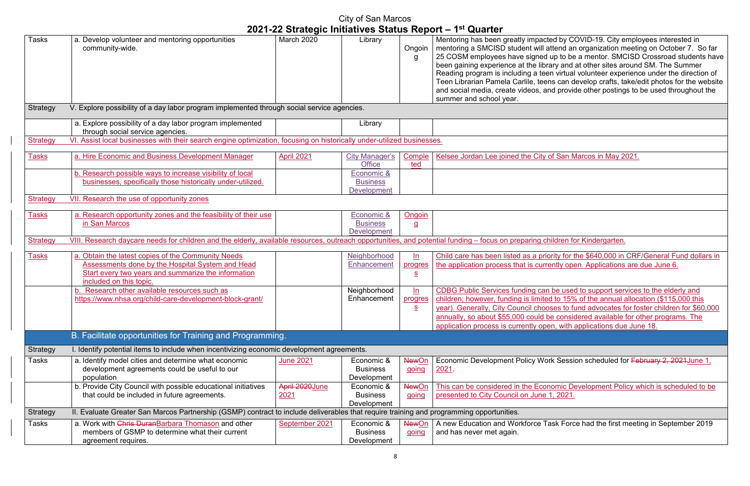Mentoring has been greatly impacted by COVID-19. City employees interested in mentoring a SMCISD student will attend an organization meeting on October 7. So far 25 COSM employees have signed up to be a mentor. SMCISD Crossroad students have  $\overline{\mathsf{a}}$ ry and at other sites around SM. The Summer ary and at earst sites an entrance under the direction of ns can develop crafts, take/edit photos for the website and provide other postings to be used throughout the

of San Marcos in May 2021.

nildren for Kindergarten.

ority for the \$640,000 in CRF/General Fund dollars in ently open. Applications are due June 6.

be used to support services to the elderly and d to 15% of the annual allocation (\$115,000 this ses to fund advocates for foster children for \$60,000 be considered available for other programs. The en, with applications due June 18.

rk Session scheduled for <del>February 2, 2021June 1</del>,

nomic Development Policy which is scheduled to be  $p, 2021.$ 

ask Force had the first meeting in September 2019

|                 | City of San Marcos                                                                                                                                                                              |                        |                                                                |                                             |                                                                                                                                                                                                                                                                                                     |  |
|-----------------|-------------------------------------------------------------------------------------------------------------------------------------------------------------------------------------------------|------------------------|----------------------------------------------------------------|---------------------------------------------|-----------------------------------------------------------------------------------------------------------------------------------------------------------------------------------------------------------------------------------------------------------------------------------------------------|--|
|                 |                                                                                                                                                                                                 |                        |                                                                |                                             | 2021-22 Strategic Initiatives Status Report - 1 <sup>st</sup> Quarter                                                                                                                                                                                                                               |  |
| <b>Tasks</b>    | a. Develop volunteer and mentoring opportunities<br>community-wide.                                                                                                                             | <b>March 2020</b>      | Library                                                        | Ongoin<br>g                                 | Mentoring has been greatly impacte<br>mentoring a SMCISD student will at<br>25 COSM employees have signed a<br>been gaining experience at the libra<br>Reading program is including a teer<br>Teen Librarian Pamela Carlile, teen<br>and social media, create videos, an<br>summer and school year. |  |
| Strategy        | V. Explore possibility of a day labor program implemented through social service agencies.                                                                                                      |                        |                                                                |                                             |                                                                                                                                                                                                                                                                                                     |  |
|                 | a. Explore possibility of a day labor program implemented<br>through social service agencies.                                                                                                   |                        | Library                                                        |                                             |                                                                                                                                                                                                                                                                                                     |  |
| <b>Strategy</b> | VI. Assist local businesses with their search engine optimization, focusing on historically under-utilized businesses.                                                                          |                        |                                                                |                                             |                                                                                                                                                                                                                                                                                                     |  |
| <b>Tasks</b>    | a. Hire Economic and Business Development Manager                                                                                                                                               | <b>April 2021</b>      | City Manager's<br><b>Office</b>                                | Comple<br>ted                               | Kelsee Jordan Lee joined the City of                                                                                                                                                                                                                                                                |  |
|                 | b. Research possible ways to increase visibility of local<br>businesses, specifically those historically under-utilized.                                                                        |                        | Economic &<br><b>Business</b><br>Development                   |                                             |                                                                                                                                                                                                                                                                                                     |  |
| <b>Strategy</b> | VII. Research the use of opportunity zones                                                                                                                                                      |                        |                                                                |                                             |                                                                                                                                                                                                                                                                                                     |  |
| <b>Tasks</b>    | a. Research opportunity zones and the feasibility of their use<br>in San Marcos                                                                                                                 |                        | <u>Economic &amp;</u><br><b>Business</b><br><b>Development</b> | <b>Ongoin</b><br>$\overline{a}$             |                                                                                                                                                                                                                                                                                                     |  |
| <b>Strategy</b> | VIII. Research daycare needs for children and the elderly, available resources, outreach opportunities, and potential funding - focus on preparing ch                                           |                        |                                                                |                                             |                                                                                                                                                                                                                                                                                                     |  |
| <b>Tasks</b>    | a. Obtain the latest copies of the Community Needs<br><b>Assessments done by the Hospital System and Head</b><br>Start every two years and summarize the information<br>included on this topic. |                        | Neighborhood<br><b>Enhancement</b>                             | $\underline{\ln}$<br>progres<br>$S_{\cdot}$ | Child care has been listed as a prio<br>the application process that is curre                                                                                                                                                                                                                       |  |
|                 | b. Research other available resources such as<br>https://www.nhsa.org/child-care-development-block-grant/                                                                                       |                        | Neighborhood<br>Enhancement                                    | ln<br>progres<br>$S_{\cdot}$                | <b>CDBG Public Services funding can</b><br>children; however, funding is limited<br>year). Generally, City Council choos<br>annually, so about \$55,000 could be<br>application process is currently ope                                                                                            |  |
|                 | B. Facilitate opportunities for Training and Programming.                                                                                                                                       |                        |                                                                |                                             |                                                                                                                                                                                                                                                                                                     |  |
| Strategy        | I. Identify potential items to include when incentivizing economic development agreements.                                                                                                      |                        |                                                                |                                             |                                                                                                                                                                                                                                                                                                     |  |
| <b>Tasks</b>    | a. Identify model cities and determine what economic<br>development agreements could be useful to our<br>population                                                                             | <b>June 2021</b>       | Economic &<br><b>Business</b><br>Development                   | <b>NewOn</b><br>going                       | <b>Economic Development Policy Wor</b><br>2021                                                                                                                                                                                                                                                      |  |
|                 | b. Provide City Council with possible educational initiatives<br>that could be included in future agreements.                                                                                   | April 2020June<br>2021 | Economic &<br><b>Business</b><br>Development                   | <b>NewOn</b><br>going                       | This can be considered in the Econ<br>presented to City Council on June 1                                                                                                                                                                                                                           |  |
| Strategy        | II. Evaluate Greater San Marcos Partnership (GSMP) contract to include deliverables that require training and programming opportunities.                                                        |                        |                                                                |                                             |                                                                                                                                                                                                                                                                                                     |  |
| Tasks           | a. Work with Chris DuranBarbara Thomason and other<br>members of GSMP to determine what their current<br>agreement requires.                                                                    | September 2021         | Economic &<br><b>Business</b><br>Development                   | <b>NewOn</b><br>going                       | A new Education and Workforce Ta<br>and has never met again.                                                                                                                                                                                                                                        |  |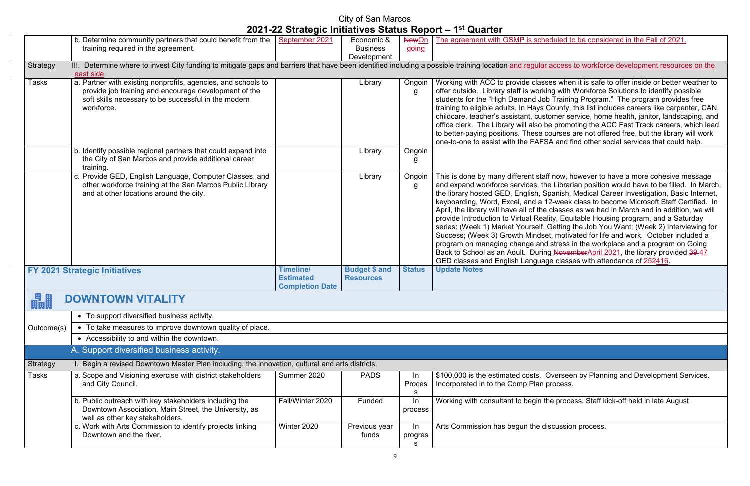duled to be considered in the Fall of 2021.

access to workforce development resources on the

es when it is safe to offer inside or better weather to ng with Workforce Solutions to identify possible  $\overline{\text{V}}$  Training Program." The program provides free County, this list includes careers like carpenter, CAN, omer service, home health, janitor, landscaping, and e promoting the ACC Fast Track careers, which lead to beta are not offered free, but the library will work A and find other social services that could help.

f now, however to have a more cohesive message e Librarian position would have to be filled. In March, the library hanish, Medical Career Investigation, Basic Internet, .<br>2-week class to become Microsoft Staff Certified. In classes as we had in March and in addition, we will ity, Equitable Housing program, and a Saturday Getting the Job You Want; (Week 2) Interviewing for t, motivated for life and work. October included a stress in the workplace and a program on Going g NovemberApril 2021, the library provided 39-47  $\frac{2}{5}$ e classes with attendance of <del>252</del>416.

**Diverseen by Planning and Development Services.** rocess.

Ie process. Staff kick-off held in late August

scussion process.

|              | b. Determine community partners that could benefit from the $\vert$                                                                                        | September 2021         | Economic &           | <b>NewOn</b>  | The agreement with GSMP is sche                                              |
|--------------|------------------------------------------------------------------------------------------------------------------------------------------------------------|------------------------|----------------------|---------------|------------------------------------------------------------------------------|
|              | training required in the agreement.                                                                                                                        |                        | <b>Business</b>      | going         |                                                                              |
|              |                                                                                                                                                            |                        | Development          |               |                                                                              |
| Strategy     | III. Determine where to invest City funding to mitigate gaps and barriers that have been identified including a possible training location and regular and |                        |                      |               |                                                                              |
|              | east side.                                                                                                                                                 |                        |                      |               |                                                                              |
| <b>Tasks</b> | a. Partner with existing nonprofits, agencies, and schools to                                                                                              |                        | Library              | Ongoin        | Working with ACC to provide class                                            |
|              | provide job training and encourage development of the                                                                                                      |                        |                      | g             | offer outside. Library staff is workir                                       |
|              | soft skills necessary to be successful in the modern<br>workforce.                                                                                         |                        |                      |               | students for the "High Demand Job<br>training to eligible adults. In Hays C  |
|              |                                                                                                                                                            |                        |                      |               | childcare, teacher's assistant, custo                                        |
|              |                                                                                                                                                            |                        |                      |               | office clerk. The Library will also be                                       |
|              |                                                                                                                                                            |                        |                      |               | to better-paying positions. These co                                         |
|              |                                                                                                                                                            |                        |                      |               | one-to-one to assist with the FAFS,                                          |
|              | b. Identify possible regional partners that could expand into                                                                                              |                        | Library              | Ongoin        |                                                                              |
|              | the City of San Marcos and provide additional career                                                                                                       |                        |                      | g             |                                                                              |
|              | training.                                                                                                                                                  |                        |                      |               |                                                                              |
|              | c. Provide GED, English Language, Computer Classes, and                                                                                                    |                        | Library              | Ongoin        | This is done by many different staff                                         |
|              | other workforce training at the San Marcos Public Library                                                                                                  |                        |                      | g             | and expand workforce services, the                                           |
|              | and at other locations around the city.                                                                                                                    |                        |                      |               | the library hosted GED, English, Sp                                          |
|              |                                                                                                                                                            |                        |                      |               | keyboarding, Word, Excel, and a 12                                           |
|              |                                                                                                                                                            |                        |                      |               | April, the library will have all of the                                      |
|              |                                                                                                                                                            |                        |                      |               | provide Introduction to Virtual Reali<br>series: (Week 1) Market Yourself, O |
|              |                                                                                                                                                            |                        |                      |               | Success; (Week 3) Growth Mindset                                             |
|              |                                                                                                                                                            |                        |                      |               | program on managing change and                                               |
|              |                                                                                                                                                            |                        |                      |               | Back to School as an Adult. During                                           |
|              |                                                                                                                                                            |                        |                      |               | <b>GED classes and English Languag</b>                                       |
|              | <b>FY 2021 Strategic Initiatives</b>                                                                                                                       | <b>Timeline/</b>       | <b>Budget \$ and</b> | <b>Status</b> | <b>Update Notes</b>                                                          |
|              |                                                                                                                                                            | <b>Estimated</b>       | <b>Resources</b>     |               |                                                                              |
|              |                                                                                                                                                            | <b>Completion Date</b> |                      |               |                                                                              |
| 畾            | <b>DOWNTOWN VITALITY</b>                                                                                                                                   |                        |                      |               |                                                                              |
|              | • To support diversified business activity.                                                                                                                |                        |                      |               |                                                                              |
| Outcome(s)   | • To take measures to improve downtown quality of place.                                                                                                   |                        |                      |               |                                                                              |
|              | • Accessibility to and within the downtown.                                                                                                                |                        |                      |               |                                                                              |
|              | A. Support diversified business activity.                                                                                                                  |                        |                      |               |                                                                              |
| Strategy     | I. Begin a revised Downtown Master Plan including, the innovation, cultural and arts districts.                                                            |                        |                      |               |                                                                              |
| <b>Tasks</b> | a. Scope and Visioning exercise with district stakeholders                                                                                                 | Summer 2020            | <b>PADS</b>          | In            | \$100,000 is the estimated costs. C                                          |
|              | and City Council.                                                                                                                                          |                        |                      | Proces        | Incorporated in to the Comp Plan p                                           |
|              |                                                                                                                                                            |                        |                      | S             |                                                                              |
|              | b. Public outreach with key stakeholders including the                                                                                                     | Fall/Winter 2020       | Funded               | $\ln$         | Working with consultant to begin th                                          |
|              | Downtown Association, Main Street, the University, as                                                                                                      |                        |                      | process       |                                                                              |
|              | well as other key stakeholders.                                                                                                                            |                        |                      |               |                                                                              |
|              | c. Work with Arts Commission to identify projects linking                                                                                                  | Winter 2020            | Previous year        | $\ln$         | Arts Commission has begun the dis                                            |
|              | Downtown and the river.                                                                                                                                    |                        | funds                | progres       |                                                                              |
|              |                                                                                                                                                            |                        |                      | s             |                                                                              |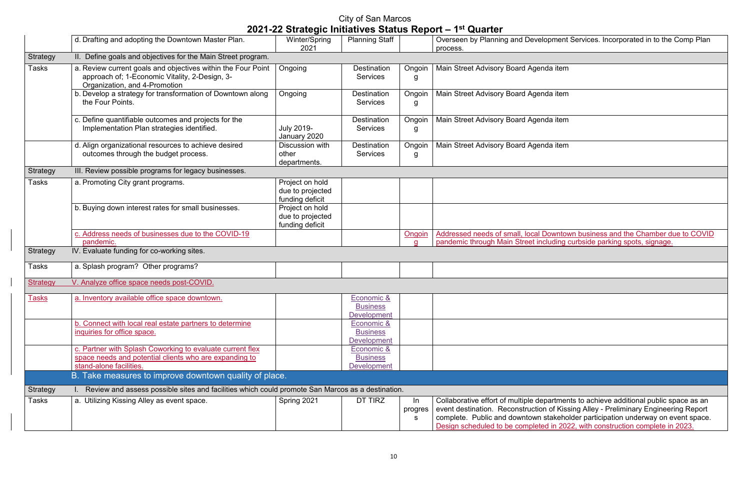|                 | d. Drafting and adopting the Downtown Master Plan.                                                                                              | Winter/Spring<br>2021                                  | Planning Staff                                          |                        | Overseen by Planning and Development Services. Incorporated in to the Comp Plan<br>process.                                                                                                                                                                                                                                                       |
|-----------------|-------------------------------------------------------------------------------------------------------------------------------------------------|--------------------------------------------------------|---------------------------------------------------------|------------------------|---------------------------------------------------------------------------------------------------------------------------------------------------------------------------------------------------------------------------------------------------------------------------------------------------------------------------------------------------|
| <b>Strategy</b> | II. Define goals and objectives for the Main Street program.                                                                                    |                                                        |                                                         |                        |                                                                                                                                                                                                                                                                                                                                                   |
| Tasks           | a. Review current goals and objectives within the Four Point<br>approach of; 1-Economic Vitality, 2-Design, 3-<br>Organization, and 4-Promotion | Ongoing                                                | <b>Destination</b><br><b>Services</b>                   | Ongoin<br>g            | Main Street Advisory Board Agenda item                                                                                                                                                                                                                                                                                                            |
|                 | b. Develop a strategy for transformation of Downtown along<br>the Four Points.                                                                  | Ongoing                                                | <b>Destination</b><br><b>Services</b>                   | Ongoin<br>g            | Main Street Advisory Board Agenda item                                                                                                                                                                                                                                                                                                            |
|                 | c. Define quantifiable outcomes and projects for the<br>Implementation Plan strategies identified.                                              | <b>July 2019-</b><br>January 2020                      | <b>Destination</b><br><b>Services</b>                   | Ongoin<br>g            | Main Street Advisory Board Agenda item                                                                                                                                                                                                                                                                                                            |
|                 | d. Align organizational resources to achieve desired<br>outcomes through the budget process.                                                    | Discussion with<br>other<br>departments.               | <b>Destination</b><br>Services                          | Ongoin<br>g            | Main Street Advisory Board Agenda item                                                                                                                                                                                                                                                                                                            |
| Strategy        | III. Review possible programs for legacy businesses.                                                                                            |                                                        |                                                         |                        |                                                                                                                                                                                                                                                                                                                                                   |
| Tasks           | a. Promoting City grant programs.                                                                                                               | Project on hold<br>due to projected<br>funding deficit |                                                         |                        |                                                                                                                                                                                                                                                                                                                                                   |
|                 | b. Buying down interest rates for small businesses.                                                                                             | Project on hold<br>due to projected<br>funding deficit |                                                         |                        |                                                                                                                                                                                                                                                                                                                                                   |
|                 | c. Address needs of businesses due to the COVID-19                                                                                              |                                                        |                                                         | Ongoin                 | Addressed needs of small, local Downtown business and the Chamber due to COVID                                                                                                                                                                                                                                                                    |
|                 | pandemic.                                                                                                                                       |                                                        |                                                         |                        | pandemic through Main Street including curbside parking spots, signage.                                                                                                                                                                                                                                                                           |
| Strategy        | IV. Evaluate funding for co-working sites.                                                                                                      |                                                        |                                                         |                        |                                                                                                                                                                                                                                                                                                                                                   |
| Tasks           | a. Splash program? Other programs?                                                                                                              |                                                        |                                                         |                        |                                                                                                                                                                                                                                                                                                                                                   |
| <b>Strategy</b> | V. Analyze office space needs post-COVID.                                                                                                       |                                                        |                                                         |                        |                                                                                                                                                                                                                                                                                                                                                   |
| <u>Tasks</u>    | a. Inventory available office space downtown.                                                                                                   |                                                        | <b>Economic &amp;</b><br><b>Business</b><br>Development |                        |                                                                                                                                                                                                                                                                                                                                                   |
|                 | b. Connect with local real estate partners to determine<br>inquiries for office space.                                                          |                                                        | Economic &<br><b>Business</b><br><b>Development</b>     |                        |                                                                                                                                                                                                                                                                                                                                                   |
|                 | c. Partner with Splash Coworking to evaluate current flex<br>space needs and potential clients who are expanding to                             |                                                        | Economic &<br><b>Business</b>                           |                        |                                                                                                                                                                                                                                                                                                                                                   |
|                 | stand-alone facilities.<br>B. Take measures to improve downtown quality of place.                                                               |                                                        | Development                                             |                        |                                                                                                                                                                                                                                                                                                                                                   |
|                 |                                                                                                                                                 |                                                        |                                                         |                        |                                                                                                                                                                                                                                                                                                                                                   |
| Strategy        | Review and assess possible sites and facilities which could promote San Marcos as a destination.                                                |                                                        |                                                         |                        |                                                                                                                                                                                                                                                                                                                                                   |
| Tasks           | a. Utilizing Kissing Alley as event space.                                                                                                      | Spring 2021                                            | DT TIRZ                                                 | $\ln$<br>progres<br>s. | Collaborative effort of multiple departments to achieve additional public space as an<br>event destination. Reconstruction of Kissing Alley - Preliminary Engineering Report<br>complete. Public and downtown stakeholder participation underway on event space.<br>Design scheduled to be completed in 2022, with construction complete in 2023. |

| Overseen by Planning and Development Services. Incorporated in to the Comp Plan<br>process.                                                                                                                                                                                                                                                       |
|---------------------------------------------------------------------------------------------------------------------------------------------------------------------------------------------------------------------------------------------------------------------------------------------------------------------------------------------------|
|                                                                                                                                                                                                                                                                                                                                                   |
| Main Street Advisory Board Agenda item                                                                                                                                                                                                                                                                                                            |
| Main Street Advisory Board Agenda item                                                                                                                                                                                                                                                                                                            |
| Main Street Advisory Board Agenda item                                                                                                                                                                                                                                                                                                            |
| Main Street Advisory Board Agenda item                                                                                                                                                                                                                                                                                                            |
|                                                                                                                                                                                                                                                                                                                                                   |
|                                                                                                                                                                                                                                                                                                                                                   |
|                                                                                                                                                                                                                                                                                                                                                   |
| Addressed needs of small, local Downtown business and the Chamber due to COVID<br>pandemic through Main Street including curbside parking spots, signage.                                                                                                                                                                                         |
|                                                                                                                                                                                                                                                                                                                                                   |
|                                                                                                                                                                                                                                                                                                                                                   |
|                                                                                                                                                                                                                                                                                                                                                   |
|                                                                                                                                                                                                                                                                                                                                                   |
|                                                                                                                                                                                                                                                                                                                                                   |
|                                                                                                                                                                                                                                                                                                                                                   |
|                                                                                                                                                                                                                                                                                                                                                   |
|                                                                                                                                                                                                                                                                                                                                                   |
| Collaborative effort of multiple departments to achieve additional public space as an<br>event destination. Reconstruction of Kissing Alley - Preliminary Engineering Report<br>complete. Public and downtown stakeholder participation underway on event space.<br>Design scheduled to be completed in 2022, with construction complete in 2023. |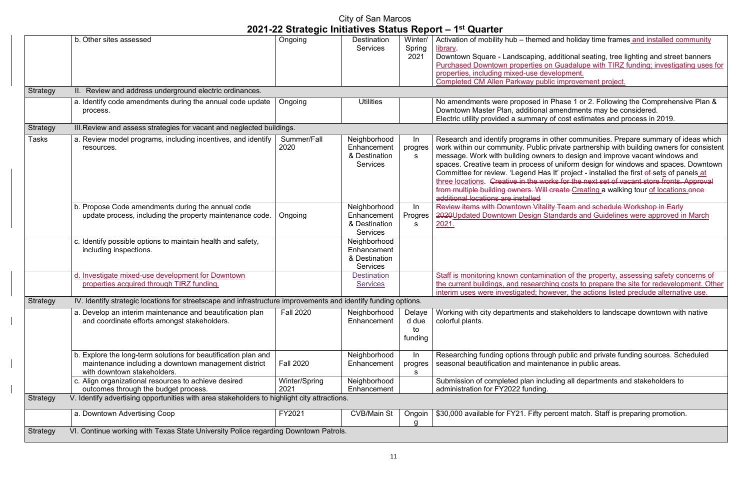#### City of San Marcos **2021-22 Strategic Initiatives Status Report – 1st Quarter** b. Other sites assessed **Destites** 1 and 2 and 2 and 2 and 2 and 2 and 2 and 2 and 2 and 2 and 2 and 2 and 2 and 2 and 2 and 2 and 2 and 2 and 2 and 2 and 2 and 2 and 2 and 2 and 2 and 2 and 2 and 2 and 2 and 2 and 2 and 2 **Services** Winter/ Spring 2021 library. properties, including mixed-use development. Completed CM Allen Parkway public improvement project. Strategy II. Review and address underground electric ordinances. a. Identify code amendments during the annual code update process. Ongoing Utilities Vullities No amendments were proposed in Phase 1 or 2. Following the Comprehensive Plan & Downtown Master Plan, additional amendments may be considered. Strategy **III. Review and assess strategies for vacant and neglected buildings.** Tasks a. Review model programs, including incentives, and identify resources. Summer/Fall 2020 **Neighborhood Enhancement** & Destination Services In progres s additional locations are installed b. Propose Code amendments during the annual code update process, including the property maintenance code.  $\Box$  Ongoing Neighborhood **Enhancement** & Destination Services In Progres s 2021. c. Identify possible options to maintain health and safety, including inspections. Neighborhood **Enhancement** & Destination **Services** d. Investigate mixed-use development for Downtown properties acquired through TIRZ funding. **Destination Services** Strategy IV. Identify strategic locations for streetscape and infrastructure improvements and identify funding options. a. Develop an interim maintenance and beautification plan and coordinate efforts amongst stakeholders. Fall 2020 | Neighborhood **Enhancement** Delaye d due to funding colorful plants. b. Explore the long-term solutions for beautification plan and maintenance including a downtown management district with downtown stakeholders. Fall 2020 Neighborhood Enhancement In progres s seasonal beautification and maintenance in public areas. c. Align organizational resources to achieve desired outcomes through the budget process. Winter/Spring 2021 Neighborhood **Enhancement** administration for FY2022 funding. Strategy V. Identify advertising opportunities with area stakeholders to highlight city attractions. a. Downtown Advertising Coop **FY2021** CVB/Main St | Ongoin g Strategy VI. Continue working with Texas State University Police regarding Downtown Patrols.

Activation of mobility hub – themed and holiday time frames and installed community

Downtown Square - Landscaping, additional seating, tree lighting and street banners Purchased Downtown properties on Guadalupe with TIRZ funding; investigating uses for

Electric utility provided a summary of cost estimates and process in 2019.

Research and identify programs in other communities. Prepare summary of ideas which work within our community. Public private partnership with building owners for consistent message. Work with building owners to design and improve vacant windows and spaces. Creative team in process of uniform design for windows and spaces. Downtown Committee for review. 'Legend Has It' project - installed the first of sets of panels at three locations. Creative in the works for the next set of vacant store fronts. Approval from multiple building owners. Will create Creating a walking tour of locations.once

Review items with Downtown Vitality Team and schedule Workshop in Early 2020Updated Downtown Design Standards and Guidelines were approved in March

Staff is monitoring known contamination of the property, assessing safety concerns of the current buildings, and researching costs to prepare the site for redevelopment. Other interim uses were investigated; however, the actions listed preclude alternative use.

Working with city departments and stakeholders to landscape downtown with native

Researching funding options through public and private funding sources. Scheduled

Submission of completed plan including all departments and stakeholders to

\$30,000 available for FY21. Fifty percent match. Staff is preparing promotion.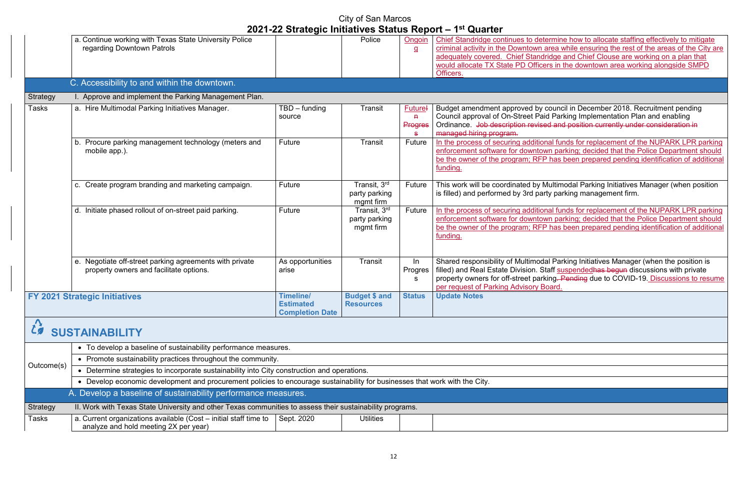mine how to allocate staffing effectively to mitigate ea while ensuring the rest of the areas of the City are ge and Chief Clouse are working on a plan that in the downtown area working alongside SMPD

ancil in December 2018. Recruitment pending Parking Implementation Plan and enabling and position currently under consideration in

I funds for replacement of the NUPARK LPR parking parking; decided that the Police Department should as been prepared pending identification of additional

Itimodal Parking Initiatives Manager (when position parking management firm.

I funds for replacement of the NUPARK LPR parking parking; decided that the Police Department should  $\frac{1}{100}$  been prepared pending identification of additional

Parking Initiatives Manager (when the position is suspendedhas begun discussions with private g. Pending due to COVID-19. Discussions to resume

| a. Continue working with Texas State University Police<br>regarding Downtown Patrols               | 2021-22 Strategic Initiatives Status Report - 1 <sup>st</sup> Quarter | Police                                     | Ongoin                                 | Chief Standridge continues to determine                                                                                                                                   |
|----------------------------------------------------------------------------------------------------|-----------------------------------------------------------------------|--------------------------------------------|----------------------------------------|---------------------------------------------------------------------------------------------------------------------------------------------------------------------------|
|                                                                                                    |                                                                       |                                            | $\overline{a}$                         | criminal activity in the Downtown area<br>adequately covered. Chief Standridge<br>would allocate TX State PD Officers in                                                  |
| C. Accessibility to and within the downtown.                                                       |                                                                       |                                            |                                        | Officers.                                                                                                                                                                 |
| I. Approve and implement the Parking Management Plan.                                              |                                                                       |                                            |                                        |                                                                                                                                                                           |
| a. Hire Multimodal Parking Initiatives Manager.                                                    | $TBD$ – funding<br>source                                             | Transit                                    | <b>Futurel</b><br>Ĥ.<br><b>Progres</b> | Budget amendment approved by cound<br>Council approval of On-Street Paid Pai<br>Ordinance. Job description revised an<br>managed hiring program.                          |
| b. Procure parking management technology (meters and<br>mobile app.).                              | Future                                                                | Transit                                    | Future                                 | In the process of securing additional fu<br>enforcement software for downtown pa<br>be the owner of the program; RFP has<br>funding.                                      |
| c. Create program branding and marketing campaign.                                                 | Future                                                                | Transit, 3rd<br>party parking<br>mgmt firm | Future                                 | This work will be coordinated by Multin<br>is filled) and performed by 3rd party pa                                                                                       |
| d. Initiate phased rollout of on-street paid parking.                                              | Future                                                                | Transit, 3rd<br>party parking<br>mgmt firm | Future                                 | In the process of securing additional fu<br>enforcement software for downtown pa<br>be the owner of the program; RFP has<br>funding.                                      |
| e. Negotiate off-street parking agreements with private<br>property owners and facilitate options. | As opportunities<br>arise                                             | Transit                                    | In<br>Progres<br>s                     | Shared responsibility of Multimodal Pa<br>filled) and Real Estate Division. Staff st<br>property owners for off-street parking.<br>per request of Parking Advisory Board. |
| <b>FY 2021 Strategic Initiatives</b>                                                               | <b>Timeline/</b><br><b>Estimated</b><br><b>Completion Date</b>        | <b>Budget \$ and</b><br><b>Resources</b>   | <b>Status</b>                          | <b>Update Notes</b>                                                                                                                                                       |
|                                                                                                    | <b>SUSTAINABILITY</b>                                                 |                                            |                                        |                                                                                                                                                                           |

|                                                               | • To develop a baseline of sustainability performance measures.                                                             |            |                  |  |  |  |  |  |
|---------------------------------------------------------------|-----------------------------------------------------------------------------------------------------------------------------|------------|------------------|--|--|--|--|--|
|                                                               | • Promote sustainability practices throughout the community.                                                                |            |                  |  |  |  |  |  |
| Outcome(s)                                                    |                                                                                                                             |            |                  |  |  |  |  |  |
|                                                               | • Develop economic development and procurement policies to encourage sustainability for businesses that work with the City. |            |                  |  |  |  |  |  |
| A. Develop a baseline of sustainability performance measures. |                                                                                                                             |            |                  |  |  |  |  |  |
| Strategy                                                      | II. Work with Texas State University and other Texas communities to assess their sustainability programs.                   |            |                  |  |  |  |  |  |
| <b>Tasks</b>                                                  | a. Current organizations available (Cost – initial staff time to<br>analyze and hold meeting 2X per year)                   | Sept. 2020 | <b>Utilities</b> |  |  |  |  |  |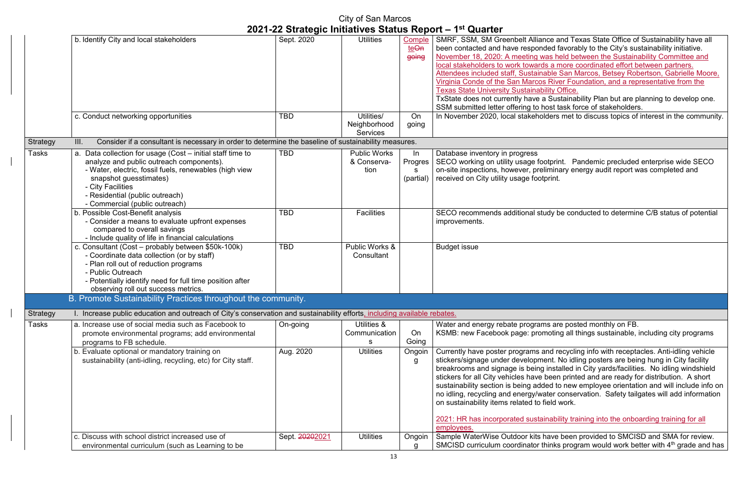ce and Texas State Office of Sustainability have all ed favorably to the City's sustainability initiative.  $\mathbf s$  held between the Sustainability Committee and a more coordinated effort between partners. ble San Marcos, Betsey Robertson, Gabrielle Moore, River Foundation, and a representative from the ty Office. Sustainability Plan but are planning to develop one.

 $s$ st task force of stakeholders.

lers met to discuss topics of interest in the community.

tprint. Pandemic precluded enterprise wide SECO  $m$ inary energy audit report was completed and

dy be conducted to determine C/B status of potential

s are posted monthly on FB. oting all things sustainable, including city programs

Id recycling info with receptacles. Anti-idling vehicle nt. No idling posters are being hung in City facility nstalled in City yards/facilities. No idling windshield  $\epsilon$  een printed and are ready for distribution. A short ed to new employee orientation and will include info on ter conservation. Safety tailgates will add information. bid work.

ability training into the onboarding training for all

ave been provided to SMCISD and SMA for review. inks program would work better with 4<sup>th</sup> grade and has

|              |                                                                                                                                                                                                                                                                                      |                             | City of San Marcos                            |                                 |                                                                                                                                                                                                                                                                                                                                                                                                       |
|--------------|--------------------------------------------------------------------------------------------------------------------------------------------------------------------------------------------------------------------------------------------------------------------------------------|-----------------------------|-----------------------------------------------|---------------------------------|-------------------------------------------------------------------------------------------------------------------------------------------------------------------------------------------------------------------------------------------------------------------------------------------------------------------------------------------------------------------------------------------------------|
|              |                                                                                                                                                                                                                                                                                      |                             |                                               |                                 | 2021-22 Strategic Initiatives Status Report - 1 <sup>st</sup> Quarter                                                                                                                                                                                                                                                                                                                                 |
|              | b. Identify City and local stakeholders                                                                                                                                                                                                                                              | Sept. 2020                  | <b>Utilities</b>                              | Comple<br>teOn<br>going         | SMRF, SSM, SM Greenbelt Alliance a<br>been contacted and have responded f<br>November 18, 2020: A meeting was he<br>local stakeholders to work towards a n<br>Attendees included staff, Sustainable<br>Virginia Conde of the San Marcos Rive<br><b>Texas State University Sustainability (</b><br>TxState does not currently have a Sus<br>SSM submitted letter offering to host ta                   |
|              | c. Conduct networking opportunities                                                                                                                                                                                                                                                  | <b>TBD</b>                  | Utilities/<br>Neighborhood<br><b>Services</b> | On<br>going                     | In November 2020, local stakeholders                                                                                                                                                                                                                                                                                                                                                                  |
| Strategy     | Consider if a consultant is necessary in order to determine the baseline of sustainability measures.<br>III.                                                                                                                                                                         |                             |                                               |                                 |                                                                                                                                                                                                                                                                                                                                                                                                       |
| <b>Tasks</b> | a. Data collection for usage (Cost - initial staff time to<br>analyze and public outreach components).<br>- Water, electric, fossil fuels, renewables (high view<br>snapshot guesstimates)<br>- City Facilities<br>- Residential (public outreach)<br>- Commercial (public outreach) | <b>TBD</b>                  | <b>Public Works</b><br>& Conserva-<br>tion    | In<br>Progres<br>s<br>(partial) | Database inventory in progress<br>SECO working on utility usage footprir<br>on-site inspections, however, prelimina<br>received on City utility usage footprint.                                                                                                                                                                                                                                      |
|              | b. Possible Cost-Benefit analysis<br>- Consider a means to evaluate upfront expenses<br>compared to overall savings<br>- Include quality of life in financial calculations                                                                                                           | <b>TBD</b>                  | <b>Facilities</b>                             |                                 | SECO recommends additional study b<br>improvements.                                                                                                                                                                                                                                                                                                                                                   |
|              | c. Consultant (Cost – probably between \$50k-100k)<br>- Coordinate data collection (or by staff)<br>- Plan roll out of reduction programs<br>- Public Outreach<br>- Potentially identify need for full time position after<br>observing roll out success metrics.                    | <b>TBD</b>                  | Public Works &<br>Consultant                  |                                 | <b>Budget issue</b>                                                                                                                                                                                                                                                                                                                                                                                   |
|              | B. Promote Sustainability Practices throughout the community.                                                                                                                                                                                                                        |                             |                                               |                                 |                                                                                                                                                                                                                                                                                                                                                                                                       |
| Strategy     | I. Increase public education and outreach of City's conservation and sustainability efforts, including available rebates.                                                                                                                                                            |                             |                                               |                                 |                                                                                                                                                                                                                                                                                                                                                                                                       |
| Tasks        | a. Increase use of social media such as Facebook to<br>promote environmental programs; add environmental<br>programs to FB schedule.                                                                                                                                                 | On-going                    | Utilities &<br>Communication<br>s             | On<br>Going                     | Water and energy rebate programs are<br>KSMB: new Facebook page: promotin                                                                                                                                                                                                                                                                                                                             |
|              | b. Evaluate optional or mandatory training on<br>sustainability (anti-idling, recycling, etc) for City staff.<br>c. Discuss with school district increased use of                                                                                                                    | Aug. 2020<br>Sept. 20202021 | <b>Utilities</b><br><b>Utilities</b>          | Ongoin<br>g<br>Ongoin           | Currently have poster programs and re<br>stickers/signage under development. I<br>breakrooms and signage is being insta<br>stickers for all City vehicles have been<br>sustainability section is being added to<br>no idling, recycling and energy/water o<br>on sustainability items related to field \<br>2021: HR has incorporated sustainabil<br>employees.<br>Sample WaterWise Outdoor kits have |
|              | environmental curriculum (such as Learning to be                                                                                                                                                                                                                                     |                             |                                               | g                               | SMCISD curriculum coordinator thinks                                                                                                                                                                                                                                                                                                                                                                  |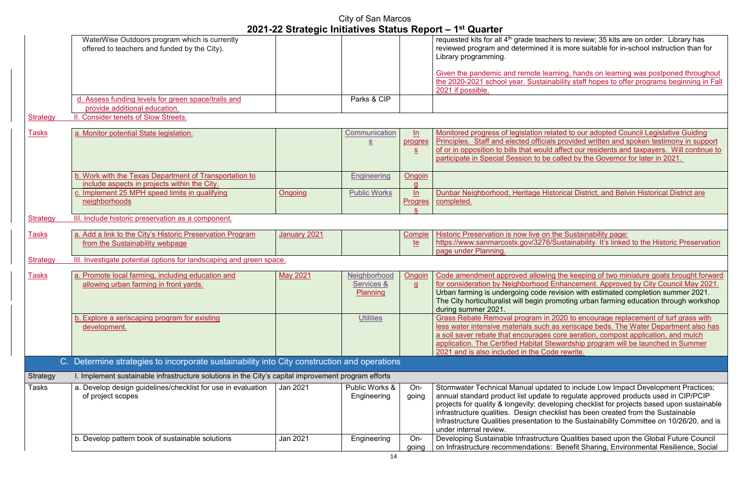ners to review; 35 kits are on order. Library has it is more suitable for in-school instruction than for

Interty the pandemic and remote the pands in remote the pand remoted throughout ability staff hopes to offer programs beginning in Fall

lated to our adopted Council Legislative Guiding Is provided written and spoken testimony in support of affect our residents and taxpayers. Will continue to called by the Governor for later in 2021.

storical District, and Belvin Historical District are

the Sustainability page: **Sustainability. It's linked to the Historic Preservation** 

g the keeping of two miniature goats brought forward Enhancement. Approved by City Council May 2021. evision with estimated completion summer 2021. omoting urban farming education through workshop

2020 to encourage replacement of turf grass with as xeriscape beds. The Water Department also has core aeration, compost application, and mulch ewardship program will be launched in Summer de rewrite.

ated to include Low Impact Development Practices; to regulate approved products used in CIP/PCIP eloping checklist for projects based upon sustainable cklist has been created from the Sustainable If to the Sustainability Committee on 10/26/20, and is

are Qualities based upon the Global Future Council Benefit Sharing, Environmental Resilience, Social

|                 |                                                                                                        |                 | City of San Marcos                                    |                                  | 2021-22 Strategic Initiatives Status Report - 1 <sup>st</sup> Quarter                                                                                                                                                        |
|-----------------|--------------------------------------------------------------------------------------------------------|-----------------|-------------------------------------------------------|----------------------------------|------------------------------------------------------------------------------------------------------------------------------------------------------------------------------------------------------------------------------|
|                 | WaterWise Outdoors program which is currently<br>offered to teachers and funded by the City).          |                 |                                                       |                                  | requested kits for all 4 <sup>th</sup> grade teach<br>reviewed program and determined i<br>Library programming.                                                                                                              |
|                 |                                                                                                        |                 |                                                       |                                  | Given the pandemic and remote lea<br>the 2020-2021 school year. Sustain<br>2021 if possible.                                                                                                                                 |
|                 | . Assess funding levels for green space/trails and                                                     |                 | Parks & CIP                                           |                                  |                                                                                                                                                                                                                              |
| <b>Strategy</b> | provide additional education.<br>II. Consider tenets of Slow Streets.                                  |                 |                                                       |                                  |                                                                                                                                                                                                                              |
|                 |                                                                                                        |                 |                                                       |                                  |                                                                                                                                                                                                                              |
| <b>Tasks</b>    | a. Monitor potential State legislation.                                                                |                 | Communication<br>$\underline{\underline{\mathsf{S}}}$ | ln<br>progres<br>$S_{\parallel}$ | Monitored progress of legislation re<br>Principles. Staff and elected official<br>of or in opposition to bills that would                                                                                                    |
|                 |                                                                                                        |                 |                                                       |                                  | participate in Special Session to be                                                                                                                                                                                         |
|                 | b. Work with the Texas Department of Transportation to<br>include aspects in projects within the City. |                 | <b>Engineering</b>                                    | Ongoin                           |                                                                                                                                                                                                                              |
|                 | c. Implement 25 MPH speed limits in qualifying<br>neighborhoods                                        | Ongoing         | <b>Public Works</b>                                   | ln<br><b>Progres</b>             | Dunbar Neighborhood, Heritage His<br>completed.                                                                                                                                                                              |
| <b>Strategy</b> | III. Include historic preservation as a component.                                                     |                 |                                                       |                                  |                                                                                                                                                                                                                              |
| Tasks           | a. Add a link to the City's Historic Preservation Program                                              | January 2021    |                                                       | Comple                           | Historic Preservation is now live on                                                                                                                                                                                         |
|                 | from the Sustainability webpage                                                                        |                 |                                                       | <u>te</u>                        | https://www.sanmarcostx.gov/3276/<br>page under Planning.                                                                                                                                                                    |
| <b>Strategy</b> | III. Investigate potential options for landscaping and green space.                                    |                 |                                                       |                                  |                                                                                                                                                                                                                              |
| <b>Tasks</b>    | a. Promote local farming, including education and<br>allowing urban farming in front yards.            | <b>May 2021</b> | Neighborhood<br>Services &                            | Ongoin<br>$\overline{a}$         | Code amendment approved allowin<br>for consideration by Neighborhood                                                                                                                                                         |
|                 |                                                                                                        |                 | Planning                                              |                                  | Urban farming is undergoing code r<br>The City horticulturalist will begin pr<br>during summer 2021.                                                                                                                         |
|                 | b. Explore a xeriscaping program for existing<br>development.                                          |                 | <b>Utilities</b>                                      |                                  | Grass Rebate Removal program in<br>less water intensive materials such<br>a soil saver rebate that encourages<br>application. The Certified Habitat St                                                                       |
|                 |                                                                                                        |                 |                                                       |                                  | 2021 and is also included in the Coo                                                                                                                                                                                         |
|                 | C. Determine strategies to incorporate sustainability into City construction and operations            |                 |                                                       |                                  |                                                                                                                                                                                                                              |
| <b>Strategy</b> | I. Implement sustainable infrastructure solutions in the City's capital improvement program efforts    |                 |                                                       |                                  |                                                                                                                                                                                                                              |
| <b>Tasks</b>    | a. Develop design guidelines/checklist for use in evaluation<br>of project scopes                      | <b>Jan 2021</b> | Public Works &<br>Engineering                         | On-<br>going                     | Stormwater Technical Manual upda<br>annual standard product list update<br>projects for quality & longevity; deve<br>infrastructure qualities. Design che<br>Infrastructure Qualities presentation<br>under internal review. |
|                 | b. Develop pattern book of sustainable solutions                                                       | Jan 2021        | Engineering                                           | On-<br>going                     | Developing Sustainable Infrastructu<br>on Infrastructure recommendations:                                                                                                                                                    |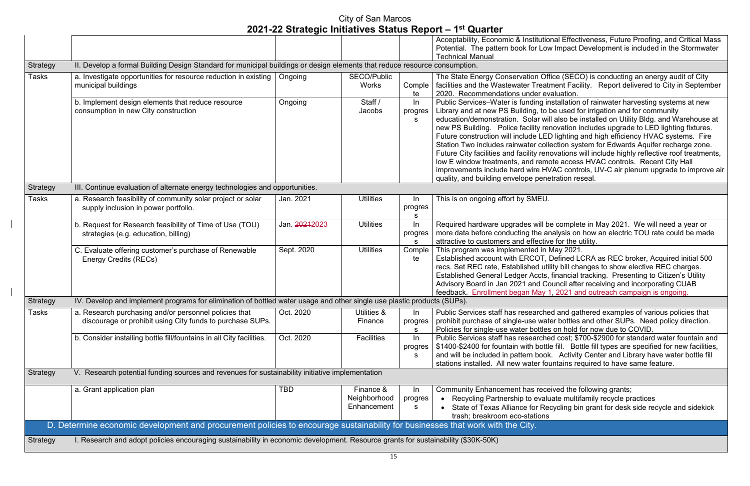Inal Effectiveness, Future Proofing, and Critical Mass v Impact Development is included in the Stormwater

fice (SECO) is conducting an energy audit of City ment Facility. Report delivered to City in September aluation.

nstallation of rainwater harvesting systems at new be used for irrigation and for community Il also be installed on Utility Bldg. and Warehouse at novation includes upgrade to LED lighting fixtures. D lighting and high efficiency HVAC systems. Fire ection system for Edwards Aquifer recharge zone. ovations will include highly reflective roof treatments, ote access HVAC controls. Recent City Hall VAC controls, UV-C air plenum upgrade to improve air etration reseal.

e complete in May 2021. We will need a year or nalysis on how an electric TOU rate could be made e for the utility.

May 2021.

Defined LCRA as REC broker, Acquired initial 500 lity bill changes to show elective REC charges. financial tracking. Presenting to Citizen's Utility buncil after receiving and incorporating CUAB , 2021 and outreach campaign is ongoing.

ed and gathered examples of various policies that ter bottles and other SUPs. Need policy direction. on hold for now due to COVID.

ed cost; \$700-\$2900 for standard water fountain and e fill. Bottle fill types are specified for new facilities,  $\alpha$ . Activity Center and Library have water bottle fill untains required to have same feature.

eived the following grants; ate multifamily recycle practices cycling bin grant for desk side recycle and sidekick

|                 |                                                                                                                                   |               |                                          |                        | Acceptability, Economic & Institutio<br>Potential. The pattern book for Low                                                                                                                                                                                                                                                                                                                            |
|-----------------|-----------------------------------------------------------------------------------------------------------------------------------|---------------|------------------------------------------|------------------------|--------------------------------------------------------------------------------------------------------------------------------------------------------------------------------------------------------------------------------------------------------------------------------------------------------------------------------------------------------------------------------------------------------|
|                 |                                                                                                                                   |               |                                          |                        | <b>Technical Manual</b>                                                                                                                                                                                                                                                                                                                                                                                |
| Strategy        | II. Develop a formal Building Design Standard for municipal buildings or design elements that reduce resource consumption.        |               |                                          |                        |                                                                                                                                                                                                                                                                                                                                                                                                        |
| <b>Tasks</b>    | a. Investigate opportunities for resource reduction in existing<br>municipal buildings                                            | Ongoing       | <b>SECO/Public</b><br><b>Works</b>       | Comple<br>te           | The State Energy Conservation Off<br>facilities and the Wastewater Treatr<br>2020. Recommendations under ev                                                                                                                                                                                                                                                                                            |
|                 | b. Implement design elements that reduce resource<br>consumption in new City construction                                         | Ongoing       | Staff /<br>Jacobs                        | $\ln$<br>progres<br>S. | Public Services-Water is funding in<br>Library and at new PS Building, to b<br>education/demonstration. Solar wil<br>new PS Building. Police facility rer<br>Future construction will include LED<br>Station Two includes rainwater colle<br>Future City facilities and facility rene<br>low E window treatments, and remo<br>improvements include hard wire HV<br>quality, and building envelope pene |
| <b>Strategy</b> | III. Continue evaluation of alternate energy technologies and opportunities.                                                      |               |                                          |                        |                                                                                                                                                                                                                                                                                                                                                                                                        |
| <b>Tasks</b>    | a. Research feasibility of community solar project or solar<br>supply inclusion in power portfolio.                               | Jan. 2021     | <b>Utilities</b>                         | In<br>progres<br>s     | This is on ongoing effort by SMEU.                                                                                                                                                                                                                                                                                                                                                                     |
|                 | b. Request for Research feasibility of Time of Use (TOU)<br>strategies (e.g. education, billing)                                  | Jan. 20212023 | <b>Utilities</b>                         | $\ln$<br>progres<br>S  | Required hardware upgrades will be<br>more data before conducting the ar<br>attractive to customers and effective                                                                                                                                                                                                                                                                                      |
|                 | C. Evaluate offering customer's purchase of Renewable<br><b>Energy Credits (RECs)</b>                                             | Sept. 2020    | <b>Utilities</b>                         | Comple<br>te           | This program was implemented in N<br>Established account with ERCOT, I<br>recs. Set REC rate, Established util<br><b>Established General Ledger Accts,</b><br>Advisory Board in Jan 2021 and Co<br>feedback. Enrollment began May 1                                                                                                                                                                    |
| <b>Strategy</b> | IV. Develop and implement programs for elimination of bottled water usage and other single use plastic products (SUPs).           |               |                                          |                        |                                                                                                                                                                                                                                                                                                                                                                                                        |
| <b>Tasks</b>    | a. Research purchasing and/or personnel policies that<br>discourage or prohibit using City funds to purchase SUPs.                | Oct. 2020     | Utilities &<br>Finance                   | In<br>progres<br>s     | <b>Public Services staff has researche</b><br>prohibit purchase of single-use wate<br>Policies for single-use water bottles                                                                                                                                                                                                                                                                            |
|                 | b. Consider installing bottle fill/fountains in all City facilities.                                                              | Oct. 2020     | <b>Facilities</b>                        | $\ln$<br>progres<br>S. | Public Services staff has researche<br>\$1400-\$2400 for fountain with bottle<br>and will be included in pattern book<br>stations installed. All new water fou                                                                                                                                                                                                                                         |
| Strategy        | V. Research potential funding sources and revenues for sustainability initiative implementation                                   |               |                                          |                        |                                                                                                                                                                                                                                                                                                                                                                                                        |
|                 | a. Grant application plan                                                                                                         | TBD           | Finance &<br>Neighborhood<br>Enhancement | In<br>progres<br>s     | <b>Community Enhancement has rece</b><br>Recycling Partnership to evalu<br>State of Texas Alliance for Reo<br>trash; breakroom eco-stations                                                                                                                                                                                                                                                            |
|                 | D. Determine economic development and procurement policies to encourage sustainability for businesses that work with the City.    |               |                                          |                        |                                                                                                                                                                                                                                                                                                                                                                                                        |
| Strategy        | I. Research and adopt policies encouraging sustainability in economic development. Resource grants for sustainability (\$30K-50K) |               |                                          |                        |                                                                                                                                                                                                                                                                                                                                                                                                        |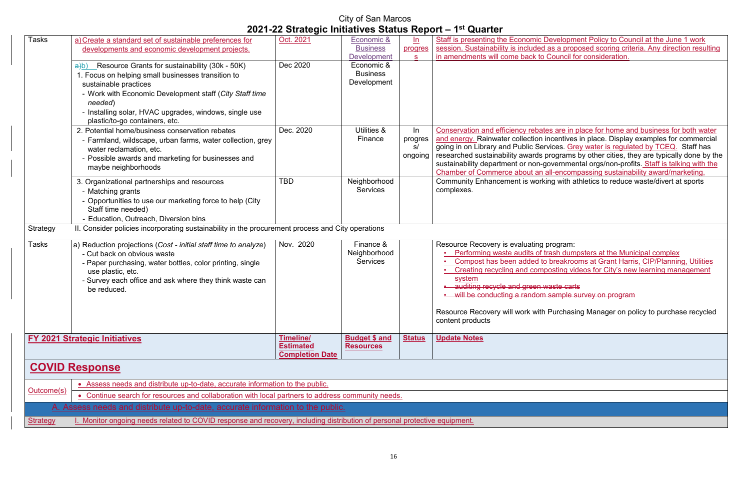**Revelopment Policy to Council at the June 1 work** as a proposed scoring criteria. Any direction resulting **Council for consideration.** 

es are in place for home and business for both water and energy. Rainwater collection incentives in place. Display examples for commercial going in on Library and Public Services. <u>Grey water is regulated by TCEQ.</u> Staff has rograms by other cities, they are typically done by the overnmental orgs/non-profits. <u>Staff is talking with the</u>  $II$ -encompassing sustainability award/marketing. ng with athletics to reduce waste/divert at sports

> rogram: rash dumpsters at the Municipal complex **breakrooms at Grant Harris, CIP/Planning, Utilities** osting videos for City's new learning management

aste carts sample survey on program

Purchasing Manager on policy to purchase recycled

| Tasks           | a) Create a standard set of sustainable preferences for                                                                   | Oct. 2021              | Economic &           | ln            | Staff is presenting the Economic De    |  |  |
|-----------------|---------------------------------------------------------------------------------------------------------------------------|------------------------|----------------------|---------------|----------------------------------------|--|--|
|                 | developments and economic development projects.                                                                           |                        | <b>Business</b>      | progres       | session. Sustainability is included a  |  |  |
|                 |                                                                                                                           |                        | <b>Development</b>   | S.            | in amendments will come back to C      |  |  |
|                 | $\frac{a}{b}$ Resource Grants for sustainability (30k - 50K)                                                              | Dec 2020               | Economic &           |               |                                        |  |  |
|                 | 1. Focus on helping small businesses transition to                                                                        |                        | <b>Business</b>      |               |                                        |  |  |
|                 | sustainable practices                                                                                                     |                        | Development          |               |                                        |  |  |
|                 | - Work with Economic Development staff (City Staff time<br>needed)                                                        |                        |                      |               |                                        |  |  |
|                 | - Installing solar, HVAC upgrades, windows, single use<br>plastic/to-go containers, etc.                                  |                        |                      |               |                                        |  |  |
|                 | 2. Potential home/business conservation rebates                                                                           | Dec. 2020              | Utilities &          | In            | Conservation and efficiency rebate     |  |  |
|                 | - Farmland, wildscape, urban farms, water collection, grey                                                                |                        | Finance              | progres       | and energy. Rainwater collection in    |  |  |
|                 | water reclamation, etc.                                                                                                   |                        |                      | s/            | going in on Library and Public Serv    |  |  |
|                 | - Possible awards and marketing for businesses and                                                                        |                        |                      | ongoing       | researched sustainability awards pr    |  |  |
|                 | maybe neighborhoods                                                                                                       |                        |                      |               | sustainability department or non-go    |  |  |
|                 |                                                                                                                           |                        |                      |               | Chamber of Commerce about an a         |  |  |
|                 | 3. Organizational partnerships and resources                                                                              | <b>TBD</b>             | Neighborhood         |               | <b>Community Enhancement is workir</b> |  |  |
|                 | - Matching grants                                                                                                         |                        | <b>Services</b>      |               | complexes.                             |  |  |
|                 | - Opportunities to use our marketing force to help (City                                                                  |                        |                      |               |                                        |  |  |
|                 | Staff time needed)                                                                                                        |                        |                      |               |                                        |  |  |
|                 | - Education, Outreach, Diversion bins                                                                                     |                        |                      |               |                                        |  |  |
| Strategy        | II. Consider policies incorporating sustainability in the procurement process and City operations                         |                        |                      |               |                                        |  |  |
| <b>Tasks</b>    | a) Reduction projections (Cost - initial staff time to analyze)                                                           | Nov. 2020              | Finance &            |               | Resource Recovery is evaluating p      |  |  |
|                 | - Cut back on obvious waste                                                                                               |                        | Neighborhood         |               | Performing waste audits of tra         |  |  |
|                 | - Paper purchasing, water bottles, color printing, single                                                                 |                        | <b>Services</b>      |               | Compost has been added to              |  |  |
|                 | use plastic, etc.                                                                                                         |                        |                      |               | <b>Creating recycling and compo</b>    |  |  |
|                 | - Survey each office and ask where they think waste can                                                                   |                        |                      |               | system                                 |  |  |
|                 | be reduced.                                                                                                               |                        |                      |               | auditing recycle and green wa          |  |  |
|                 |                                                                                                                           |                        |                      |               | will be conducting a random s          |  |  |
|                 |                                                                                                                           |                        |                      |               | Resource Recovery will work with F     |  |  |
|                 |                                                                                                                           |                        |                      |               | content products                       |  |  |
|                 | <b>FY 2021 Strategic Initiatives</b>                                                                                      | <b>Timeline/</b>       | <b>Budget \$ and</b> | <b>Status</b> | <b>Update Notes</b>                    |  |  |
|                 |                                                                                                                           | <b>Estimated</b>       | <b>Resources</b>     |               |                                        |  |  |
|                 |                                                                                                                           | <b>Completion Date</b> |                      |               |                                        |  |  |
|                 | <b>COVID Response</b>                                                                                                     |                        |                      |               |                                        |  |  |
|                 | • Assess needs and distribute up-to-date, accurate information to the public.                                             |                        |                      |               |                                        |  |  |
| Outcome(s)      | • Continue search for resources and collaboration with local partners to address community needs.                         |                        |                      |               |                                        |  |  |
|                 | A. Assess needs and distribute up-to-date, accurate information to the public.                                            |                        |                      |               |                                        |  |  |
| <b>Strategy</b> | I. Monitor ongoing needs related to COVID response and recovery, including distribution of personal protective equipment. |                        |                      |               |                                        |  |  |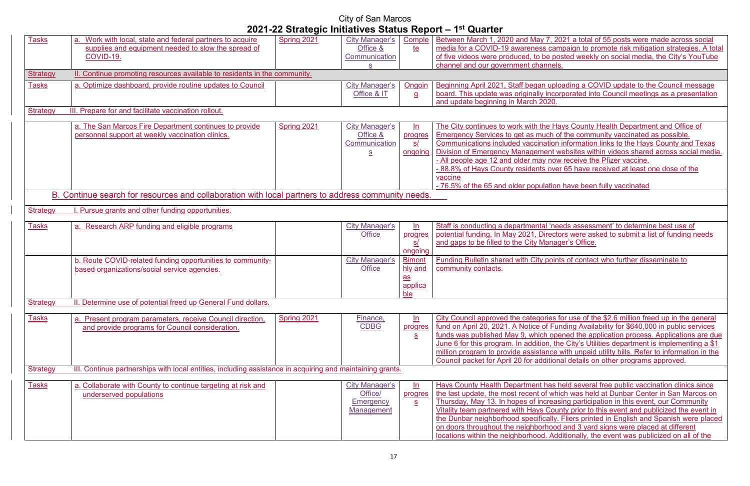, 2021 a total of 55 posts were made across social campaign to promote risk mitigation strategies. A total posted weekly on social media, the City's YouTube

iploading a COVID update to the Council message **ncorporated into Council meetings as a presentation** 

Hays County Health Department and Office of In of the community vaccinated as possible. ion information links to the Hays County and Texas It websites within videos shared across social media. how receive the Pfizer vaccine. over 65 have received at least one dose of the

tion have been fully vaccinated

'needs assessment' to determine best use of ectors were asked to submit a list of funding needs nager's Office.

oints of contact who further disseminate to

es for use of the \$2.6 million freed up in the general Funding Availability for \$640,000 in public services opened the application process. Applications are due the City's Utilities department is implementing a \$1 ce with unpaid utility bills. Refer to information in the ional details on other programs approved.

|                 |                                                                                                           | EVET EE OG Alvylo milialivoo Olalao Roport |                       |                         | $\sim$                                          |
|-----------------|-----------------------------------------------------------------------------------------------------------|--------------------------------------------|-----------------------|-------------------------|-------------------------------------------------|
| <b>Tasks</b>    | Work with local, state and federal partners to acquire                                                    | Spring 2021                                | <b>City Manager's</b> | Comple                  | Between March 1, 2020 and May 7, 20             |
|                 | supplies and equipment needed to slow the spread of                                                       |                                            | Office &              | <u>te</u>               | media for a COVID-19 awareness cam              |
|                 | COVID-19.                                                                                                 |                                            | Communication         |                         | of five videos were produced, to be pos         |
|                 |                                                                                                           |                                            | S.                    |                         | channel and our government channels.            |
| <b>Strategy</b> | II. Continue promoting resources available to residents in the community.                                 |                                            |                       |                         |                                                 |
| <b>Tasks</b>    | a. Optimize dashboard, provide routine updates to Council                                                 |                                            | <b>City Manager's</b> | Ongoin                  | Beginning April 2021, Staff began uploa         |
|                 |                                                                                                           |                                            | Office & IT           |                         | board. This update was originally incorp        |
|                 |                                                                                                           |                                            |                       | $\overline{a}$          |                                                 |
| <b>Strategy</b> |                                                                                                           |                                            |                       |                         | and update beginning in March 2020.             |
|                 | III. Prepare for and facilitate vaccination rollout.                                                      |                                            |                       |                         |                                                 |
|                 | a. The San Marcos Fire Department continues to provide                                                    | Spring 2021                                | <b>City Manager's</b> | $\ln$                   | The City continues to work with the Hav         |
|                 | personnel support at weekly vaccination clinics.                                                          |                                            | Office &              | progres                 | Emergency Services to get as much of            |
|                 |                                                                                                           |                                            | Communication         | s/                      | Communications included vaccination i           |
|                 |                                                                                                           |                                            | S                     | ongoing                 | <b>Division of Emergency Management we</b>      |
|                 |                                                                                                           |                                            |                       |                         | - All people age 12 and older may now           |
|                 |                                                                                                           |                                            |                       |                         | -88.8% of Hays County residents over            |
|                 |                                                                                                           |                                            |                       |                         | vaccine                                         |
|                 |                                                                                                           |                                            |                       |                         |                                                 |
|                 |                                                                                                           |                                            |                       |                         | - 76.5% of the 65 and older population          |
|                 | B. Continue search for resources and collaboration with local partners to address community needs.        |                                            |                       |                         |                                                 |
| <b>Strategy</b> | Pursue grants and other funding opportunities.                                                            |                                            |                       |                         |                                                 |
|                 |                                                                                                           |                                            |                       |                         |                                                 |
| <b>Tasks</b>    | a. Research ARP funding and eligible programs                                                             |                                            | <b>City Manager's</b> | $\ln$                   | Staff is conducting a departmental 'nee         |
|                 |                                                                                                           |                                            | <b>Office</b>         | progres                 | potential funding. In May 2021, Director        |
|                 |                                                                                                           |                                            |                       | <u>s/</u>               | and gaps to be filled to the City Manage        |
|                 |                                                                                                           |                                            |                       | ongoing                 |                                                 |
|                 | b. Route COVID-related funding opportunities to community-                                                |                                            | <b>City Manager's</b> | <b>Bimont</b>           | <b>Funding Bulletin shared with City points</b> |
|                 | based organizations/social service agencies.                                                              |                                            | <b>Office</b>         | hly and                 | community contacts.                             |
|                 |                                                                                                           |                                            |                       | $\overline{\mathbf{a}}$ |                                                 |
|                 |                                                                                                           |                                            |                       |                         |                                                 |
|                 |                                                                                                           |                                            |                       | applica<br>ble          |                                                 |
|                 |                                                                                                           |                                            |                       |                         |                                                 |
| <b>Strategy</b> | II. Determine use of potential freed up General Fund dollars.                                             |                                            |                       |                         |                                                 |
| <b>Tasks</b>    | a. Present program parameters, receive Council direction,                                                 | Spring 2021                                | Finance,              | ln                      | City Council approved the categories fo         |
|                 | and provide programs for Council consideration.                                                           |                                            | <b>CDBG</b>           | progres                 | fund on April 20, 2021. A Notice of Fun         |
|                 |                                                                                                           |                                            |                       | $S_{\cdot}$             | funds was published May 9, which oper           |
|                 |                                                                                                           |                                            |                       |                         | June 6 for this program. In addition, the       |
|                 |                                                                                                           |                                            |                       |                         | million program to provide assistance w         |
|                 |                                                                                                           |                                            |                       |                         | Council packet for April 20 for additiona       |
| <b>Strategy</b> | III. Continue partnerships with local entities, including assistance in acquiring and maintaining grants. |                                            |                       |                         |                                                 |
|                 |                                                                                                           |                                            |                       |                         |                                                 |
| <b>Tasks</b>    | a. Collaborate with County to continue targeting at risk and                                              |                                            | City Manager's        | ln                      | Hays County Health Department has he            |
|                 | underserved populations                                                                                   |                                            | Office/               | progres                 | the last update, the most recent of which       |
|                 |                                                                                                           |                                            | <b>Emergency</b>      | $S_{\cdot}$             | Thursday, May 13. In hopes of increasi          |
|                 |                                                                                                           |                                            | Management            |                         | Vitality team partnered with Hays Coun          |
|                 |                                                                                                           |                                            |                       |                         | the Dunbar neighborhood specifically. I         |
|                 |                                                                                                           |                                            |                       |                         | on doors throughout the neighborhood            |
|                 |                                                                                                           |                                            |                       |                         | Incations within the neighborhood Add           |
|                 |                                                                                                           |                                            |                       |                         |                                                 |

as held several free public vaccination clinics since which was held at Dunbar Center in San Marcos on Thursday, May 13. Thursday, May 13. In this event, our Community County prior to this event and publicized the event in Ily. Fliers printed in English and Spanish were placed ood and 3 yard signs were placed at different locations within the neighborhood. Additionally, the event was publicized on all of the